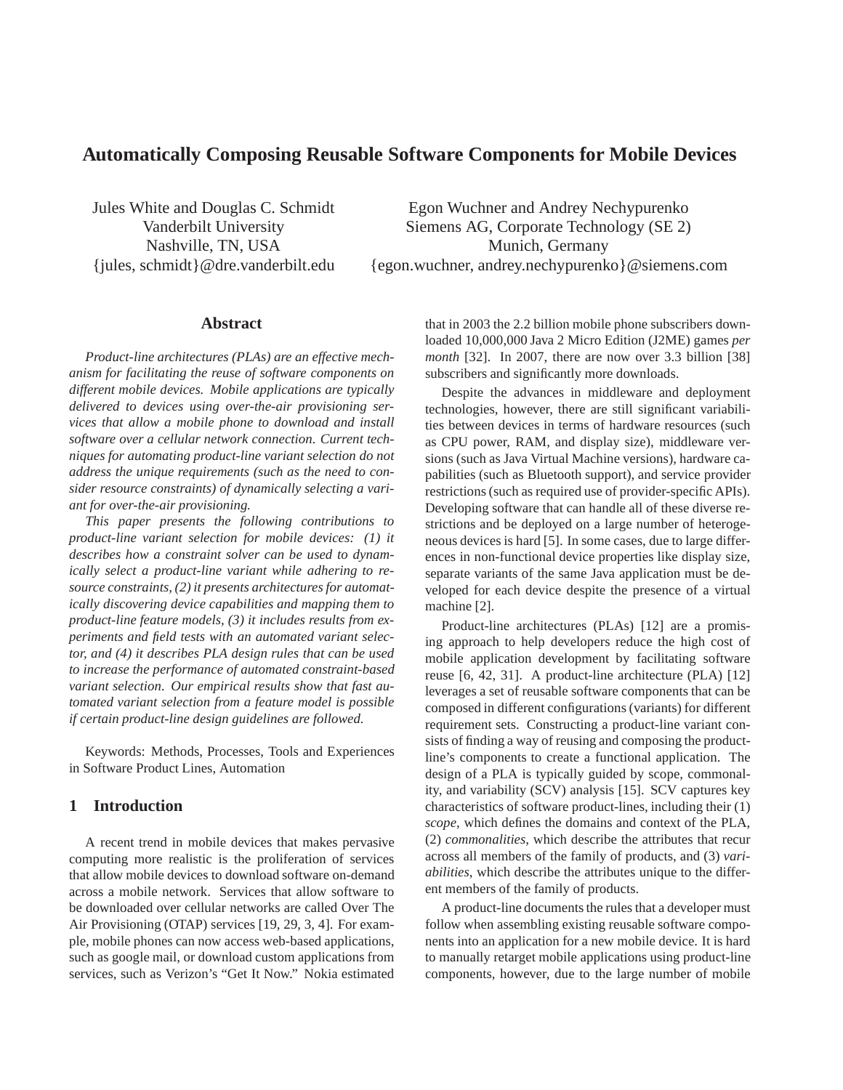# **Automatically Composing Reusable Software Components for Mobile Devices**

Jules White and Douglas C. Schmidt Vanderbilt University Nashville, TN, USA {jules, schmidt}@dre.vanderbilt.edu

Egon Wuchner and Andrey Nechypurenko Siemens AG, Corporate Technology (SE 2) Munich, Germany {egon.wuchner, andrey.nechypurenko}@siemens.com

#### **Abstract**

*Product-line architectures (PLAs) are an effective mechanism for facilitating the reuse of software components on different mobile devices. Mobile applications are typically delivered to devices using over-the-air provisioning services that allow a mobile phone to download and install software over a cellular network connection. Current techniques for automating product-line variant selection do not address the unique requirements (such as the need to consider resource constraints) of dynamically selecting a variant for over-the-air provisioning.*

*This paper presents the following contributions to product-line variant selection for mobile devices: (1) it describes how a constraint solver can be used to dynamically select a product-line variant while adhering to resource constraints, (2) it presents architectures for automatically discovering device capabilities and mapping them to product-line feature models, (3) it includes results from experiments and field tests with an automated variant selector, and (4) it describes PLA design rules that can be used to increase the performance of automated constraint-based variant selection. Our empirical results show that fast automated variant selection from a feature model is possible if certain product-line design guidelines are followed.*

Keywords: Methods, Processes, Tools and Experiences in Software Product Lines, Automation

### **1 Introduction**

A recent trend in mobile devices that makes pervasive computing more realistic is the proliferation of services that allow mobile devices to download software on-demand across a mobile network. Services that allow software to be downloaded over cellular networks are called Over The Air Provisioning (OTAP) services [19, 29, 3, 4]. For example, mobile phones can now access web-based applications, such as google mail, or download custom applications from services, such as Verizon's "Get It Now." Nokia estimated

that in 2003 the 2.2 billion mobile phone subscribers downloaded 10,000,000 Java 2 Micro Edition (J2ME) games *per month* [32]. In 2007, there are now over 3.3 billion [38] subscribers and significantly more downloads.

Despite the advances in middleware and deployment technologies, however, there are still significant variabilities between devices in terms of hardware resources (such as CPU power, RAM, and display size), middleware versions (such as Java Virtual Machine versions), hardware capabilities (such as Bluetooth support), and service provider restrictions (such as required use of provider-specific APIs). Developing software that can handle all of these diverse restrictions and be deployed on a large number of heterogeneous devices is hard [5]. In some cases, due to large differences in non-functional device properties like display size, separate variants of the same Java application must be developed for each device despite the presence of a virtual machine [2].

Product-line architectures (PLAs) [12] are a promising approach to help developers reduce the high cost of mobile application development by facilitating software reuse [6, 42, 31]. A product-line architecture (PLA) [12] leverages a set of reusable software components that can be composed in different configurations (variants) for different requirement sets. Constructing a product-line variant consists of finding a way of reusing and composing the productline's components to create a functional application. The design of a PLA is typically guided by scope, commonality, and variability (SCV) analysis [15]. SCV captures key characteristics of software product-lines, including their (1) *scope*, which defines the domains and context of the PLA, (2) *commonalities*, which describe the attributes that recur across all members of the family of products, and (3) *variabilities*, which describe the attributes unique to the different members of the family of products.

A product-line documents the rules that a developer must follow when assembling existing reusable software components into an application for a new mobile device. It is hard to manually retarget mobile applications using product-line components, however, due to the large number of mobile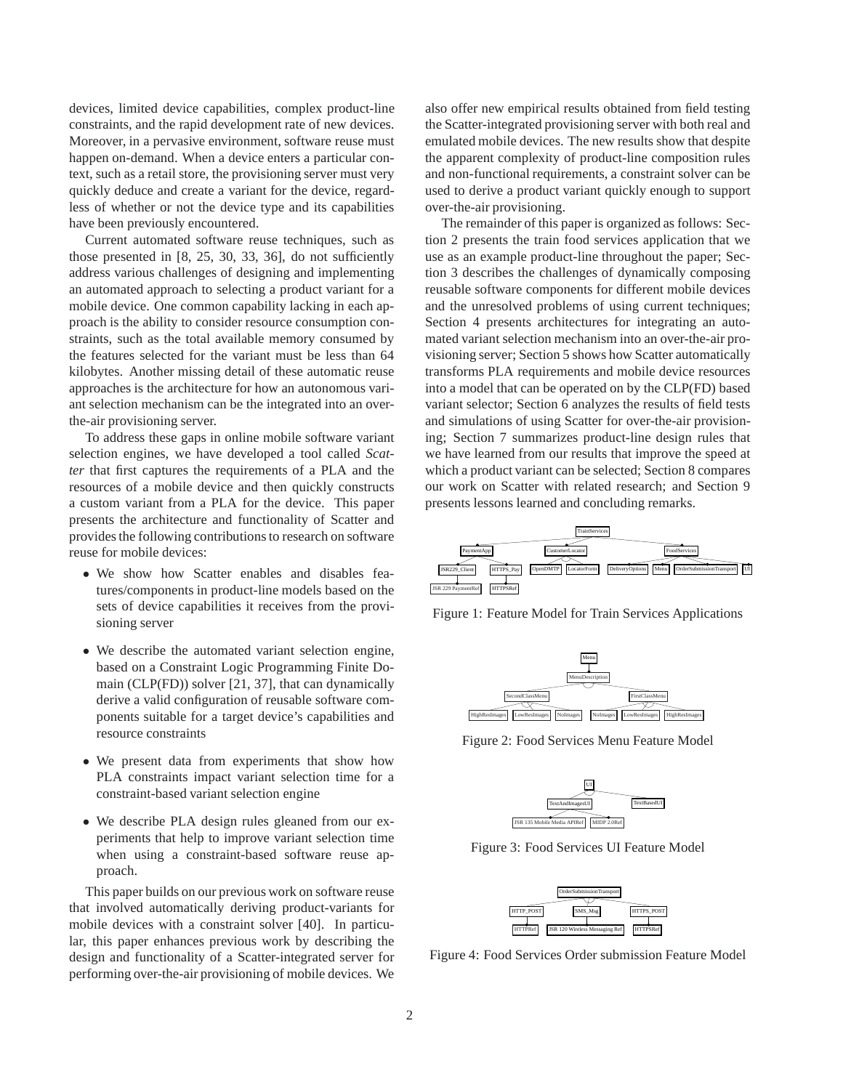devices, limited device capabilities, complex product-line constraints, and the rapid development rate of new devices. Moreover, in a pervasive environment, software reuse must happen on-demand. When a device enters a particular context, such as a retail store, the provisioning server must very quickly deduce and create a variant for the device, regardless of whether or not the device type and its capabilities have been previously encountered.

Current automated software reuse techniques, such as those presented in [8, 25, 30, 33, 36], do not sufficiently address various challenges of designing and implementing an automated approach to selecting a product variant for a mobile device. One common capability lacking in each approach is the ability to consider resource consumption constraints, such as the total available memory consumed by the features selected for the variant must be less than 64 kilobytes. Another missing detail of these automatic reuse approaches is the architecture for how an autonomous variant selection mechanism can be the integrated into an overthe-air provisioning server.

To address these gaps in online mobile software variant selection engines, we have developed a tool called *Scatter* that first captures the requirements of a PLA and the resources of a mobile device and then quickly constructs a custom variant from a PLA for the device. This paper presents the architecture and functionality of Scatter and provides the following contributions to research on software reuse for mobile devices:

- We show how Scatter enables and disables features/components in product-line models based on the sets of device capabilities it receives from the provisioning server
- We describe the automated variant selection engine, based on a Constraint Logic Programming Finite Domain (CLP(FD)) solver [21, 37], that can dynamically derive a valid configuration of reusable software components suitable for a target device's capabilities and resource constraints
- We present data from experiments that show how PLA constraints impact variant selection time for a constraint-based variant selection engine
- We describe PLA design rules gleaned from our experiments that help to improve variant selection time when using a constraint-based software reuse approach.

This paper builds on our previous work on software reuse that involved automatically deriving product-variants for mobile devices with a constraint solver [40]. In particular, this paper enhances previous work by describing the design and functionality of a Scatter-integrated server for performing over-the-air provisioning of mobile devices. We

also offer new empirical results obtained from field testing the Scatter-integrated provisioning server with both real and emulated mobile devices. The new results show that despite the apparent complexity of product-line composition rules and non-functional requirements, a constraint solver can be used to derive a product variant quickly enough to support over-the-air provisioning.

The remainder of this paper is organized as follows: Section 2 presents the train food services application that we use as an example product-line throughout the paper; Section 3 describes the challenges of dynamically composing reusable software components for different mobile devices and the unresolved problems of using current techniques; Section 4 presents architectures for integrating an automated variant selection mechanism into an over-the-air provisioning server; Section 5 shows how Scatter automatically transforms PLA requirements and mobile device resources into a model that can be operated on by the CLP(FD) based variant selector; Section 6 analyzes the results of field tests and simulations of using Scatter for over-the-air provisioning; Section 7 summarizes product-line design rules that we have learned from our results that improve the speed at which a product variant can be selected; Section 8 compares our work on Scatter with related research; and Section 9 presents lessons learned and concluding remarks.



Figure 1: Feature Model for Train Services Applications



Figure 2: Food Services Menu Feature Model



Figure 3: Food Services UI Feature Model



Figure 4: Food Services Order submission Feature Model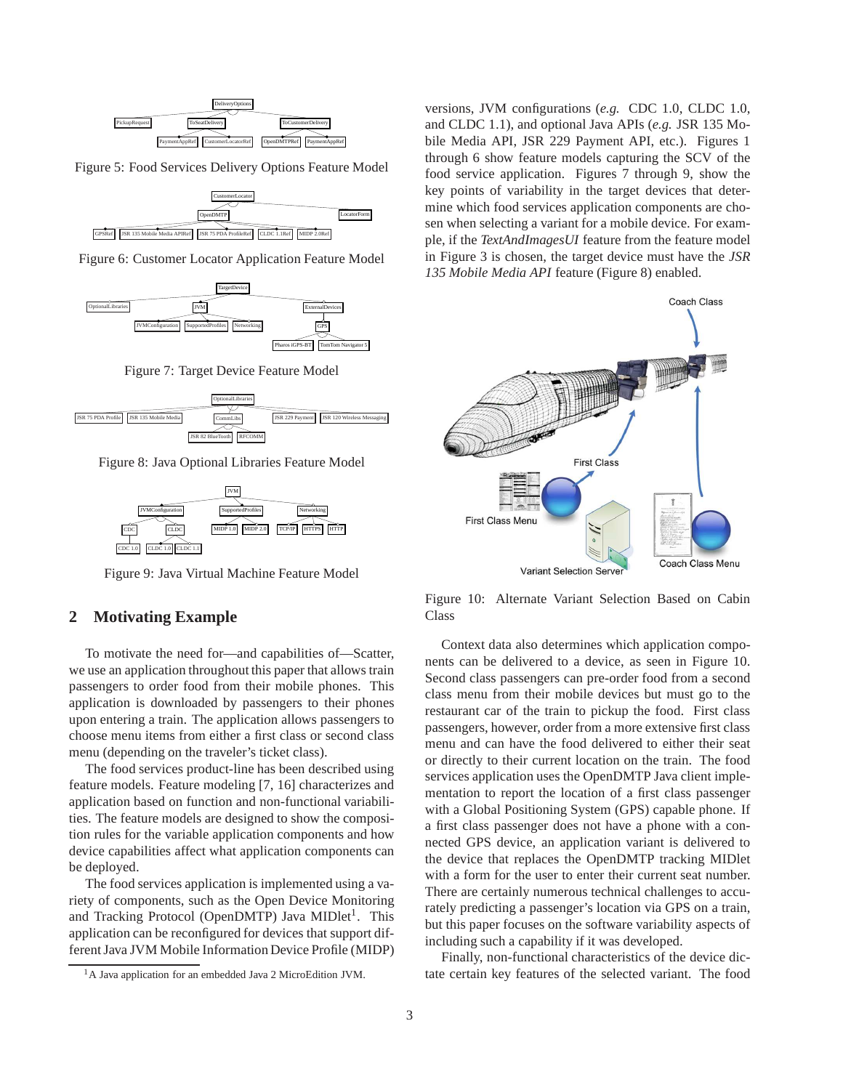

Figure 5: Food Services Delivery Options Feature Model



Figure 6: Customer Locator Application Feature Model



Figure 7: Target Device Feature Model



Figure 8: Java Optional Libraries Feature Model



Figure 9: Java Virtual Machine Feature Model

## **2 Motivating Example**

To motivate the need for—and capabilities of—Scatter, we use an application throughout this paper that allows train passengers to order food from their mobile phones. This application is downloaded by passengers to their phones upon entering a train. The application allows passengers to choose menu items from either a first class or second class menu (depending on the traveler's ticket class).

The food services product-line has been described using feature models. Feature modeling [7, 16] characterizes and application based on function and non-functional variabilities. The feature models are designed to show the composition rules for the variable application components and how device capabilities affect what application components can be deployed.

The food services application is implemented using a variety of components, such as the Open Device Monitoring and Tracking Protocol (OpenDMTP) Java MIDlet<sup>1</sup>. This application can be reconfigured for devices that support different Java JVM Mobile Information Device Profile (MIDP) versions, JVM configurations (*e.g.* CDC 1.0, CLDC 1.0, and CLDC 1.1), and optional Java APIs (*e.g.* JSR 135 Mobile Media API, JSR 229 Payment API, etc.). Figures 1 through 6 show feature models capturing the SCV of the food service application. Figures 7 through 9, show the key points of variability in the target devices that determine which food services application components are chosen when selecting a variant for a mobile device. For example, if the *TextAndImagesUI* feature from the feature model in Figure 3 is chosen, the target device must have the *JSR 135 Mobile Media API* feature (Figure 8) enabled.



Figure 10: Alternate Variant Selection Based on Cabin Class

Context data also determines which application components can be delivered to a device, as seen in Figure 10. Second class passengers can pre-order food from a second class menu from their mobile devices but must go to the restaurant car of the train to pickup the food. First class passengers, however, order from a more extensive first class menu and can have the food delivered to either their seat or directly to their current location on the train. The food services application uses the OpenDMTP Java client implementation to report the location of a first class passenger with a Global Positioning System (GPS) capable phone. If a first class passenger does not have a phone with a connected GPS device, an application variant is delivered to the device that replaces the OpenDMTP tracking MIDlet with a form for the user to enter their current seat number. There are certainly numerous technical challenges to accurately predicting a passenger's location via GPS on a train, but this paper focuses on the software variability aspects of including such a capability if it was developed.

Finally, non-functional characteristics of the device dictate certain key features of the selected variant. The food

<sup>&</sup>lt;sup>1</sup>A Java application for an embedded Java 2 MicroEdition JVM.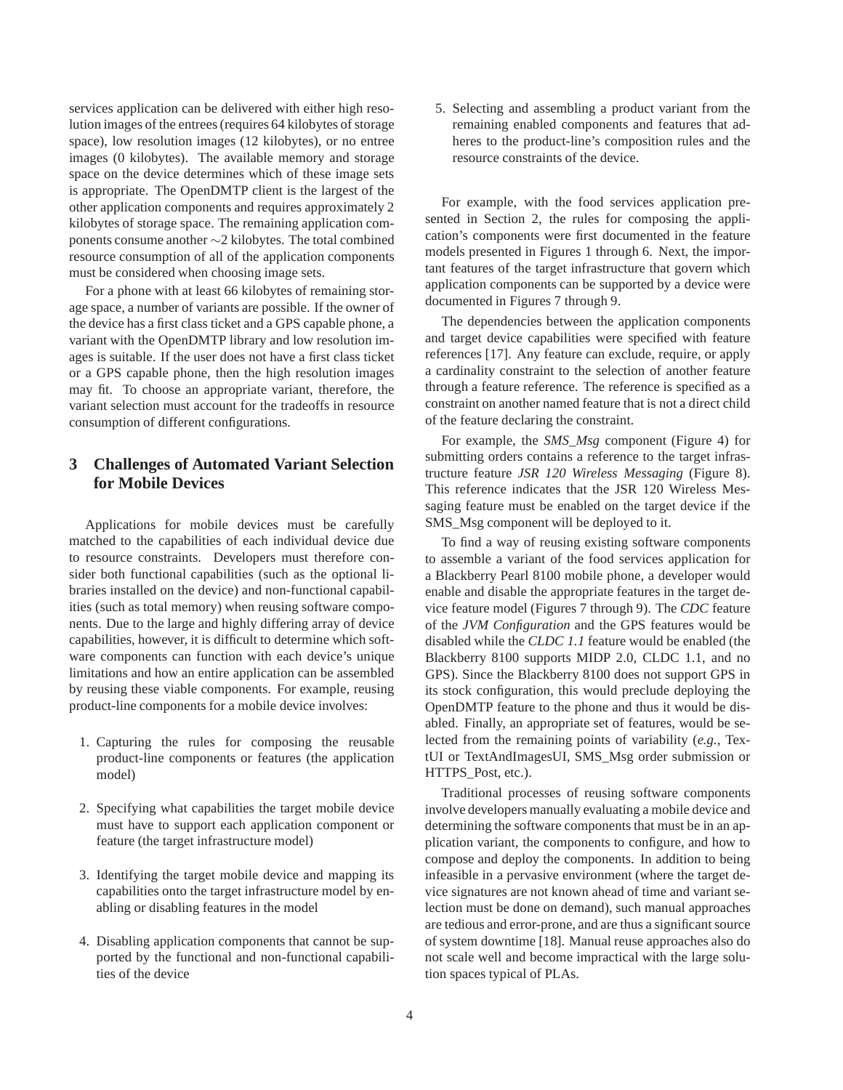services application can be delivered with either high resolution images of the entrees (requires 64 kilobytes of storage space), low resolution images (12 kilobytes), or no entree images (0 kilobytes). The available memory and storage space on the device determines which of these image sets is appropriate. The OpenDMTP client is the largest of the other application components and requires approximately 2 kilobytes of storage space. The remaining application components consume another ∼2 kilobytes. The total combined resource consumption of all of the application components must be considered when choosing image sets.

For a phone with at least 66 kilobytes of remaining storage space, a number of variants are possible. If the owner of the device has a first class ticket and a GPS capable phone, a variant with the OpenDMTP library and low resolution images is suitable. If the user does not have a first class ticket or a GPS capable phone, then the high resolution images may fit. To choose an appropriate variant, therefore, the variant selection must account for the tradeoffs in resource consumption of different configurations.

## **3 Challenges of Automated Variant Selection for Mobile Devices**

Applications for mobile devices must be carefully matched to the capabilities of each individual device due to resource constraints. Developers must therefore consider both functional capabilities (such as the optional libraries installed on the device) and non-functional capabilities (such as total memory) when reusing software components. Due to the large and highly differing array of device capabilities, however, it is difficult to determine which software components can function with each device's unique limitations and how an entire application can be assembled by reusing these viable components. For example, reusing product-line components for a mobile device involves:

- 1. Capturing the rules for composing the reusable product-line components or features (the application model)
- 2. Specifying what capabilities the target mobile device must have to support each application component or feature (the target infrastructure model)
- 3. Identifying the target mobile device and mapping its capabilities onto the target infrastructure model by enabling or disabling features in the model
- 4. Disabling application components that cannot be supported by the functional and non-functional capabilities of the device

5. Selecting and assembling a product variant from the remaining enabled components and features that adheres to the product-line's composition rules and the resource constraints of the device.

For example, with the food services application presented in Section 2, the rules for composing the application's components were first documented in the feature models presented in Figures 1 through 6. Next, the important features of the target infrastructure that govern which application components can be supported by a device were documented in Figures 7 through 9.

The dependencies between the application components and target device capabilities were specified with feature references [17]. Any feature can exclude, require, or apply a cardinality constraint to the selection of another feature through a feature reference. The reference is specified as a constraint on another named feature that is not a direct child of the feature declaring the constraint.

For example, the *SMS\_Msg* component (Figure 4) for submitting orders contains a reference to the target infrastructure feature *JSR 120 Wireless Messaging* (Figure 8). This reference indicates that the JSR 120 Wireless Messaging feature must be enabled on the target device if the SMS\_Msg component will be deployed to it.

To find a way of reusing existing software components to assemble a variant of the food services application for a Blackberry Pearl 8100 mobile phone, a developer would enable and disable the appropriate features in the target device feature model (Figures 7 through 9). The *CDC* feature of the *JVM Configuration* and the GPS features would be disabled while the *CLDC 1.1* feature would be enabled (the Blackberry 8100 supports MIDP 2.0, CLDC 1.1, and no GPS). Since the Blackberry 8100 does not support GPS in its stock configuration, this would preclude deploying the OpenDMTP feature to the phone and thus it would be disabled. Finally, an appropriate set of features, would be selected from the remaining points of variability (*e.g.*, TextUI or TextAndImagesUI, SMS\_Msg order submission or HTTPS\_Post, etc.).

Traditional processes of reusing software components involve developers manually evaluating a mobile device and determining the software components that must be in an application variant, the components to configure, and how to compose and deploy the components. In addition to being infeasible in a pervasive environment (where the target device signatures are not known ahead of time and variant selection must be done on demand), such manual approaches are tedious and error-prone, and are thus a significant source of system downtime [18]. Manual reuse approaches also do not scale well and become impractical with the large solution spaces typical of PLAs.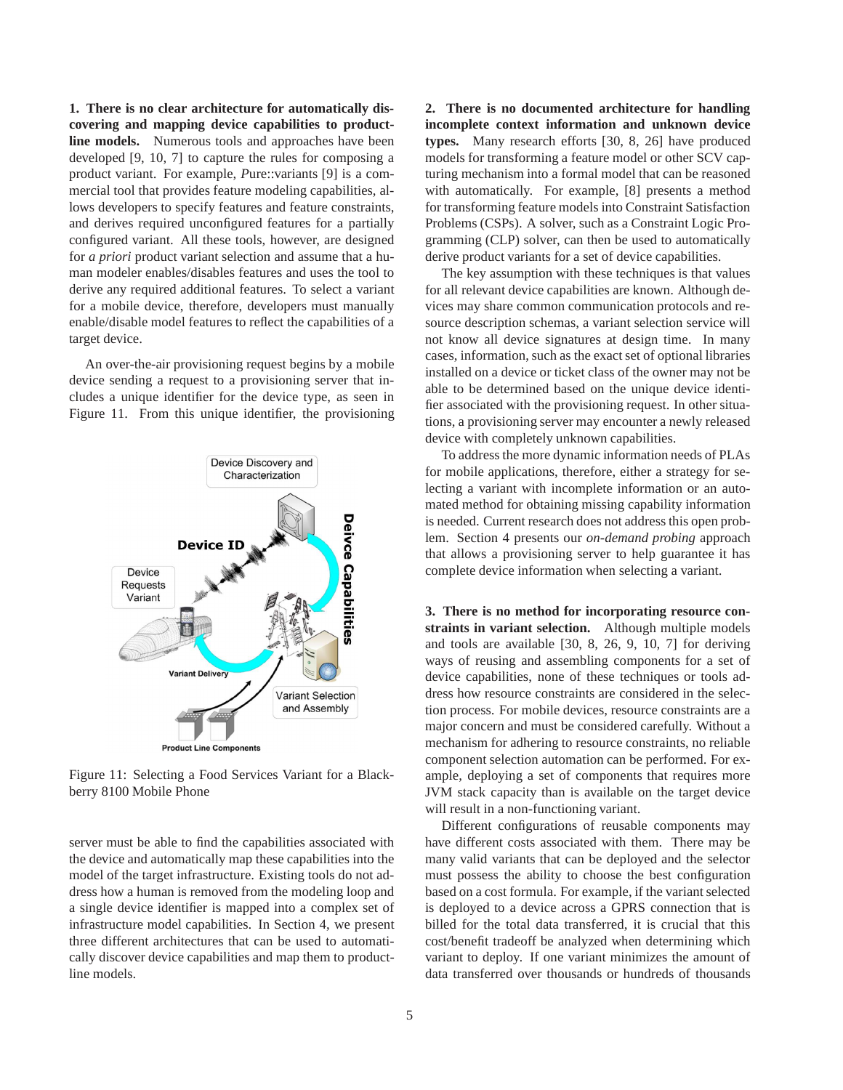**1. There is no clear architecture for automatically discovering and mapping device capabilities to productline models.** Numerous tools and approaches have been developed [9, 10, 7] to capture the rules for composing a product variant. For example, *P*ure::variants [9] is a commercial tool that provides feature modeling capabilities, allows developers to specify features and feature constraints, and derives required unconfigured features for a partially configured variant. All these tools, however, are designed for *a priori* product variant selection and assume that a human modeler enables/disables features and uses the tool to derive any required additional features. To select a variant for a mobile device, therefore, developers must manually enable/disable model features to reflect the capabilities of a target device.

An over-the-air provisioning request begins by a mobile device sending a request to a provisioning server that includes a unique identifier for the device type, as seen in Figure 11. From this unique identifier, the provisioning



Figure 11: Selecting a Food Services Variant for a Blackberry 8100 Mobile Phone

server must be able to find the capabilities associated with the device and automatically map these capabilities into the model of the target infrastructure. Existing tools do not address how a human is removed from the modeling loop and a single device identifier is mapped into a complex set of infrastructure model capabilities. In Section 4, we present three different architectures that can be used to automatically discover device capabilities and map them to productline models.

**2. There is no documented architecture for handling incomplete context information and unknown device types.** Many research efforts [30, 8, 26] have produced models for transforming a feature model or other SCV capturing mechanism into a formal model that can be reasoned with automatically. For example, [8] presents a method for transforming feature models into Constraint Satisfaction Problems (CSPs). A solver, such as a Constraint Logic Programming (CLP) solver, can then be used to automatically derive product variants for a set of device capabilities.

The key assumption with these techniques is that values for all relevant device capabilities are known. Although devices may share common communication protocols and resource description schemas, a variant selection service will not know all device signatures at design time. In many cases, information, such as the exact set of optional libraries installed on a device or ticket class of the owner may not be able to be determined based on the unique device identifier associated with the provisioning request. In other situations, a provisioning server may encounter a newly released device with completely unknown capabilities.

To address the more dynamic information needs of PLAs for mobile applications, therefore, either a strategy for selecting a variant with incomplete information or an automated method for obtaining missing capability information is needed. Current research does not address this open problem. Section 4 presents our *on-demand probing* approach that allows a provisioning server to help guarantee it has complete device information when selecting a variant.

**3. There is no method for incorporating resource constraints in variant selection.** Although multiple models and tools are available [30, 8, 26, 9, 10, 7] for deriving ways of reusing and assembling components for a set of device capabilities, none of these techniques or tools address how resource constraints are considered in the selection process. For mobile devices, resource constraints are a major concern and must be considered carefully. Without a mechanism for adhering to resource constraints, no reliable component selection automation can be performed. For example, deploying a set of components that requires more JVM stack capacity than is available on the target device will result in a non-functioning variant.

Different configurations of reusable components may have different costs associated with them. There may be many valid variants that can be deployed and the selector must possess the ability to choose the best configuration based on a cost formula. For example, if the variant selected is deployed to a device across a GPRS connection that is billed for the total data transferred, it is crucial that this cost/benefit tradeoff be analyzed when determining which variant to deploy. If one variant minimizes the amount of data transferred over thousands or hundreds of thousands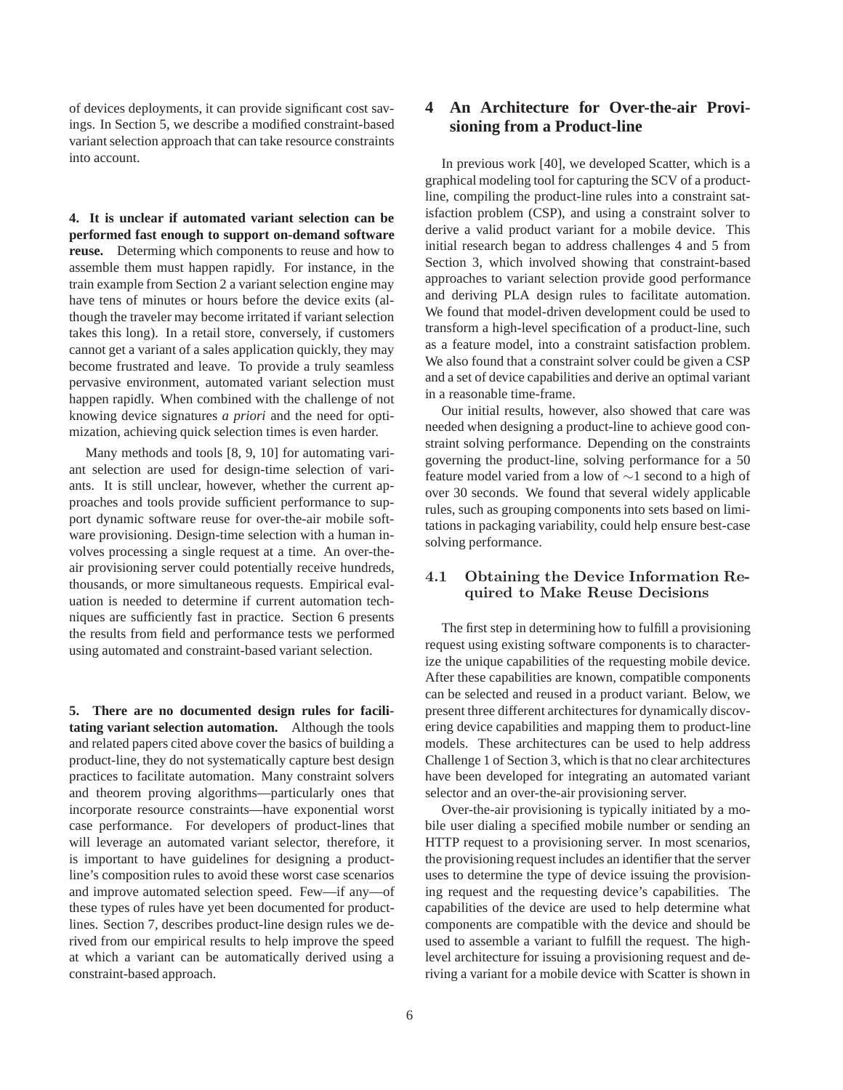of devices deployments, it can provide significant cost savings. In Section 5, we describe a modified constraint-based variant selection approach that can take resource constraints into account.

**4. It is unclear if automated variant selection can be performed fast enough to support on-demand software reuse.** Determing which components to reuse and how to assemble them must happen rapidly. For instance, in the train example from Section 2 a variant selection engine may have tens of minutes or hours before the device exits (although the traveler may become irritated if variant selection takes this long). In a retail store, conversely, if customers cannot get a variant of a sales application quickly, they may become frustrated and leave. To provide a truly seamless pervasive environment, automated variant selection must happen rapidly. When combined with the challenge of not knowing device signatures *a priori* and the need for optimization, achieving quick selection times is even harder.

Many methods and tools [8, 9, 10] for automating variant selection are used for design-time selection of variants. It is still unclear, however, whether the current approaches and tools provide sufficient performance to support dynamic software reuse for over-the-air mobile software provisioning. Design-time selection with a human involves processing a single request at a time. An over-theair provisioning server could potentially receive hundreds, thousands, or more simultaneous requests. Empirical evaluation is needed to determine if current automation techniques are sufficiently fast in practice. Section 6 presents the results from field and performance tests we performed using automated and constraint-based variant selection.

**5. There are no documented design rules for facilitating variant selection automation.** Although the tools and related papers cited above cover the basics of building a product-line, they do not systematically capture best design practices to facilitate automation. Many constraint solvers and theorem proving algorithms—particularly ones that incorporate resource constraints—have exponential worst case performance. For developers of product-lines that will leverage an automated variant selector, therefore, it is important to have guidelines for designing a productline's composition rules to avoid these worst case scenarios and improve automated selection speed. Few—if any—of these types of rules have yet been documented for productlines. Section 7, describes product-line design rules we derived from our empirical results to help improve the speed at which a variant can be automatically derived using a constraint-based approach.

# **4 An Architecture for Over-the-air Provisioning from a Product-line**

In previous work [40], we developed Scatter, which is a graphical modeling tool for capturing the SCV of a productline, compiling the product-line rules into a constraint satisfaction problem (CSP), and using a constraint solver to derive a valid product variant for a mobile device. This initial research began to address challenges 4 and 5 from Section 3, which involved showing that constraint-based approaches to variant selection provide good performance and deriving PLA design rules to facilitate automation. We found that model-driven development could be used to transform a high-level specification of a product-line, such as a feature model, into a constraint satisfaction problem. We also found that a constraint solver could be given a CSP and a set of device capabilities and derive an optimal variant in a reasonable time-frame.

Our initial results, however, also showed that care was needed when designing a product-line to achieve good constraint solving performance. Depending on the constraints governing the product-line, solving performance for a 50 feature model varied from a low of ∼1 second to a high of over 30 seconds. We found that several widely applicable rules, such as grouping components into sets based on limitations in packaging variability, could help ensure best-case solving performance.

#### 4.1 Obtaining the Device Information Required to Make Reuse Decisions

The first step in determining how to fulfill a provisioning request using existing software components is to characterize the unique capabilities of the requesting mobile device. After these capabilities are known, compatible components can be selected and reused in a product variant. Below, we present three different architectures for dynamically discovering device capabilities and mapping them to product-line models. These architectures can be used to help address Challenge 1 of Section 3, which is that no clear architectures have been developed for integrating an automated variant selector and an over-the-air provisioning server.

Over-the-air provisioning is typically initiated by a mobile user dialing a specified mobile number or sending an HTTP request to a provisioning server. In most scenarios, the provisioning request includes an identifier that the server uses to determine the type of device issuing the provisioning request and the requesting device's capabilities. The capabilities of the device are used to help determine what components are compatible with the device and should be used to assemble a variant to fulfill the request. The highlevel architecture for issuing a provisioning request and deriving a variant for a mobile device with Scatter is shown in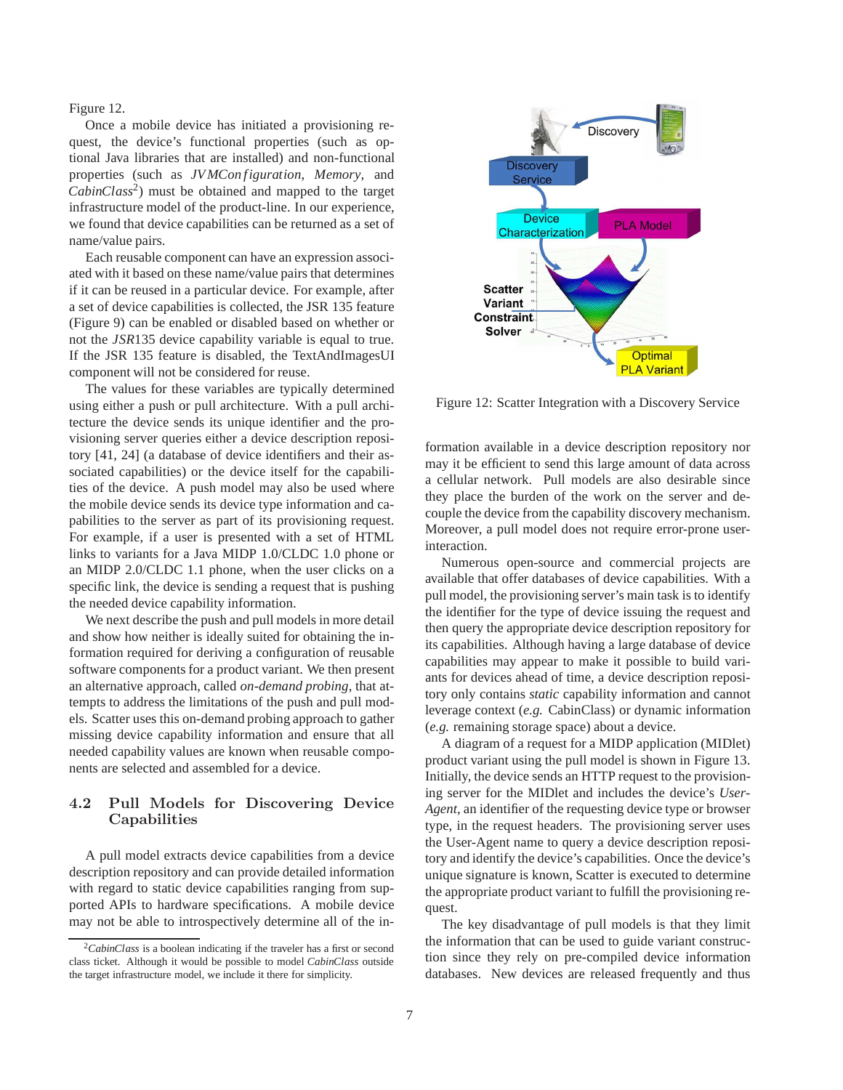Figure 12.

Once a mobile device has initiated a provisioning request, the device's functional properties (such as optional Java libraries that are installed) and non-functional properties (such as *JVMCon figuration*, *Memory*, and *CabinClass*<sup>2</sup> ) must be obtained and mapped to the target infrastructure model of the product-line. In our experience, we found that device capabilities can be returned as a set of name/value pairs.

Each reusable component can have an expression associated with it based on these name/value pairs that determines if it can be reused in a particular device. For example, after a set of device capabilities is collected, the JSR 135 feature (Figure 9) can be enabled or disabled based on whether or not the *JSR*135 device capability variable is equal to true. If the JSR 135 feature is disabled, the TextAndImagesUI component will not be considered for reuse.

The values for these variables are typically determined using either a push or pull architecture. With a pull architecture the device sends its unique identifier and the provisioning server queries either a device description repository [41, 24] (a database of device identifiers and their associated capabilities) or the device itself for the capabilities of the device. A push model may also be used where the mobile device sends its device type information and capabilities to the server as part of its provisioning request. For example, if a user is presented with a set of HTML links to variants for a Java MIDP 1.0/CLDC 1.0 phone or an MIDP 2.0/CLDC 1.1 phone, when the user clicks on a specific link, the device is sending a request that is pushing the needed device capability information.

We next describe the push and pull models in more detail and show how neither is ideally suited for obtaining the information required for deriving a configuration of reusable software components for a product variant. We then present an alternative approach, called *on-demand probing*, that attempts to address the limitations of the push and pull models. Scatter uses this on-demand probing approach to gather missing device capability information and ensure that all needed capability values are known when reusable components are selected and assembled for a device.

## 4.2 Pull Models for Discovering Device Capabilities

A pull model extracts device capabilities from a device description repository and can provide detailed information with regard to static device capabilities ranging from supported APIs to hardware specifications. A mobile device may not be able to introspectively determine all of the in-



Figure 12: Scatter Integration with a Discovery Service

formation available in a device description repository nor may it be efficient to send this large amount of data across a cellular network. Pull models are also desirable since they place the burden of the work on the server and decouple the device from the capability discovery mechanism. Moreover, a pull model does not require error-prone userinteraction.

Numerous open-source and commercial projects are available that offer databases of device capabilities. With a pull model, the provisioning server's main task is to identify the identifier for the type of device issuing the request and then query the appropriate device description repository for its capabilities. Although having a large database of device capabilities may appear to make it possible to build variants for devices ahead of time, a device description repository only contains *static* capability information and cannot leverage context (*e.g.* CabinClass) or dynamic information (*e.g.* remaining storage space) about a device.

A diagram of a request for a MIDP application (MIDlet) product variant using the pull model is shown in Figure 13. Initially, the device sends an HTTP request to the provisioning server for the MIDlet and includes the device's *User-Agent*, an identifier of the requesting device type or browser type, in the request headers. The provisioning server uses the User-Agent name to query a device description repository and identify the device's capabilities. Once the device's unique signature is known, Scatter is executed to determine the appropriate product variant to fulfill the provisioning request.

The key disadvantage of pull models is that they limit the information that can be used to guide variant construction since they rely on pre-compiled device information databases. New devices are released frequently and thus

<sup>2</sup>*CabinClass* is a boolean indicating if the traveler has a first or second class ticket. Although it would be possible to model *CabinClass* outside the target infrastructure model, we include it there for simplicity.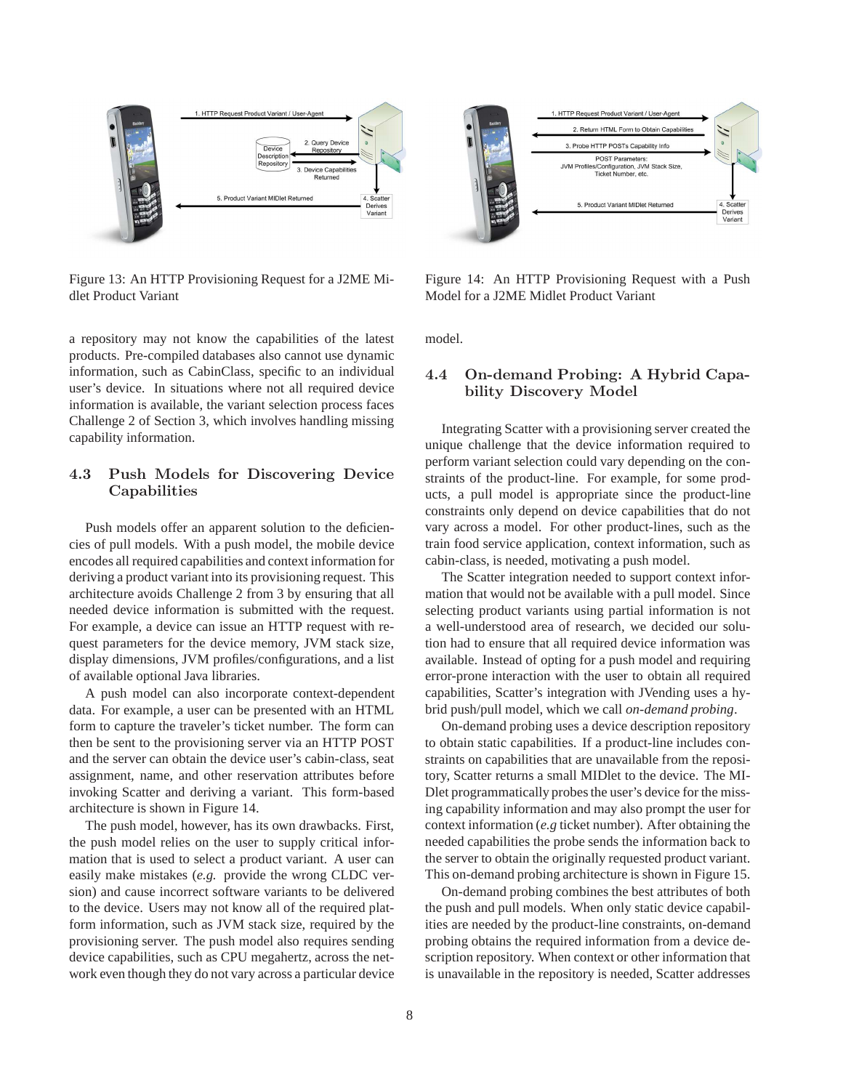

Figure 13: An HTTP Provisioning Request for a J2ME Midlet Product Variant

a repository may not know the capabilities of the latest products. Pre-compiled databases also cannot use dynamic information, such as CabinClass, specific to an individual user's device. In situations where not all required device information is available, the variant selection process faces Challenge 2 of Section 3, which involves handling missing capability information.

### 4.3 Push Models for Discovering Device Capabilities

Push models offer an apparent solution to the deficiencies of pull models. With a push model, the mobile device encodes all required capabilities and context information for deriving a product variant into its provisioning request. This architecture avoids Challenge 2 from 3 by ensuring that all needed device information is submitted with the request. For example, a device can issue an HTTP request with request parameters for the device memory, JVM stack size, display dimensions, JVM profiles/configurations, and a list of available optional Java libraries.

A push model can also incorporate context-dependent data. For example, a user can be presented with an HTML form to capture the traveler's ticket number. The form can then be sent to the provisioning server via an HTTP POST and the server can obtain the device user's cabin-class, seat assignment, name, and other reservation attributes before invoking Scatter and deriving a variant. This form-based architecture is shown in Figure 14.

The push model, however, has its own drawbacks. First, the push model relies on the user to supply critical information that is used to select a product variant. A user can easily make mistakes (*e.g.* provide the wrong CLDC version) and cause incorrect software variants to be delivered to the device. Users may not know all of the required platform information, such as JVM stack size, required by the provisioning server. The push model also requires sending device capabilities, such as CPU megahertz, across the network even though they do not vary across a particular device



Figure 14: An HTTP Provisioning Request with a Push Model for a J2ME Midlet Product Variant

model.

### 4.4 On-demand Probing: A Hybrid Capability Discovery Model

Integrating Scatter with a provisioning server created the unique challenge that the device information required to perform variant selection could vary depending on the constraints of the product-line. For example, for some products, a pull model is appropriate since the product-line constraints only depend on device capabilities that do not vary across a model. For other product-lines, such as the train food service application, context information, such as cabin-class, is needed, motivating a push model.

The Scatter integration needed to support context information that would not be available with a pull model. Since selecting product variants using partial information is not a well-understood area of research, we decided our solution had to ensure that all required device information was available. Instead of opting for a push model and requiring error-prone interaction with the user to obtain all required capabilities, Scatter's integration with JVending uses a hybrid push/pull model, which we call *on-demand probing*.

On-demand probing uses a device description repository to obtain static capabilities. If a product-line includes constraints on capabilities that are unavailable from the repository, Scatter returns a small MIDlet to the device. The MI-Dlet programmatically probes the user's device for the missing capability information and may also prompt the user for context information (*e.g* ticket number). After obtaining the needed capabilities the probe sends the information back to the server to obtain the originally requested product variant. This on-demand probing architecture is shown in Figure 15.

On-demand probing combines the best attributes of both the push and pull models. When only static device capabilities are needed by the product-line constraints, on-demand probing obtains the required information from a device description repository. When context or other information that is unavailable in the repository is needed, Scatter addresses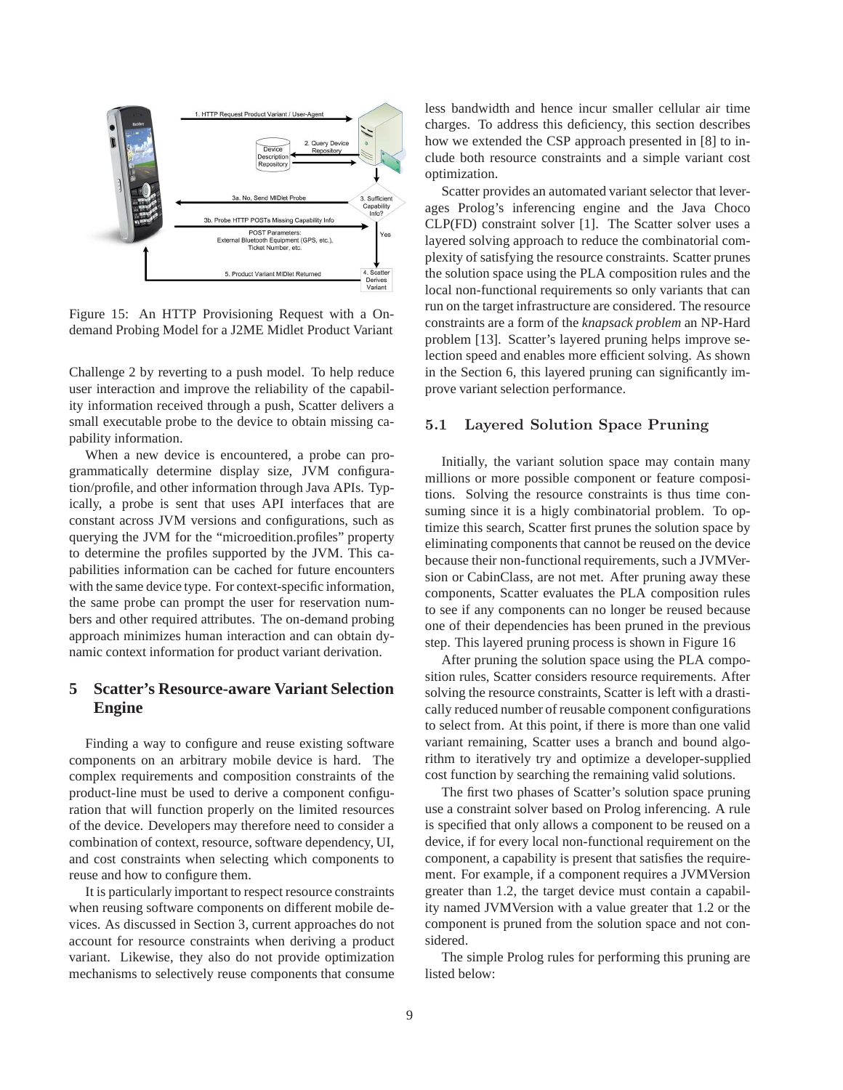

Figure 15: An HTTP Provisioning Request with a Ondemand Probing Model for a J2ME Midlet Product Variant

Challenge 2 by reverting to a push model. To help reduce user interaction and improve the reliability of the capability information received through a push, Scatter delivers a small executable probe to the device to obtain missing capability information.

When a new device is encountered, a probe can programmatically determine display size, JVM configuration/profile, and other information through Java APIs. Typically, a probe is sent that uses API interfaces that are constant across JVM versions and configurations, such as querying the JVM for the "microedition.profiles" property to determine the profiles supported by the JVM. This capabilities information can be cached for future encounters with the same device type. For context-specific information, the same probe can prompt the user for reservation numbers and other required attributes. The on-demand probing approach minimizes human interaction and can obtain dynamic context information for product variant derivation.

## **5 Scatter's Resource-aware Variant Selection Engine**

Finding a way to configure and reuse existing software components on an arbitrary mobile device is hard. The complex requirements and composition constraints of the product-line must be used to derive a component configuration that will function properly on the limited resources of the device. Developers may therefore need to consider a combination of context, resource, software dependency, UI, and cost constraints when selecting which components to reuse and how to configure them.

It is particularly important to respect resource constraints when reusing software components on different mobile devices. As discussed in Section 3, current approaches do not account for resource constraints when deriving a product variant. Likewise, they also do not provide optimization mechanisms to selectively reuse components that consume less bandwidth and hence incur smaller cellular air time charges. To address this deficiency, this section describes how we extended the CSP approach presented in [8] to include both resource constraints and a simple variant cost optimization.

Scatter provides an automated variant selector that leverages Prolog's inferencing engine and the Java Choco CLP(FD) constraint solver [1]. The Scatter solver uses a layered solving approach to reduce the combinatorial complexity of satisfying the resource constraints. Scatter prunes the solution space using the PLA composition rules and the local non-functional requirements so only variants that can run on the target infrastructure are considered. The resource constraints are a form of the *knapsack problem* an NP-Hard problem [13]. Scatter's layered pruning helps improve selection speed and enables more efficient solving. As shown in the Section 6, this layered pruning can significantly improve variant selection performance.

#### 5.1 Layered Solution Space Pruning

Initially, the variant solution space may contain many millions or more possible component or feature compositions. Solving the resource constraints is thus time consuming since it is a higly combinatorial problem. To optimize this search, Scatter first prunes the solution space by eliminating components that cannot be reused on the device because their non-functional requirements, such a JVMVersion or CabinClass, are not met. After pruning away these components, Scatter evaluates the PLA composition rules to see if any components can no longer be reused because one of their dependencies has been pruned in the previous step. This layered pruning process is shown in Figure 16

After pruning the solution space using the PLA composition rules, Scatter considers resource requirements. After solving the resource constraints, Scatter is left with a drastically reduced number of reusable component configurations to select from. At this point, if there is more than one valid variant remaining, Scatter uses a branch and bound algorithm to iteratively try and optimize a developer-supplied cost function by searching the remaining valid solutions.

The first two phases of Scatter's solution space pruning use a constraint solver based on Prolog inferencing. A rule is specified that only allows a component to be reused on a device, if for every local non-functional requirement on the component, a capability is present that satisfies the requirement. For example, if a component requires a JVMVersion greater than 1.2, the target device must contain a capability named JVMVersion with a value greater that 1.2 or the component is pruned from the solution space and not considered.

The simple Prolog rules for performing this pruning are listed below: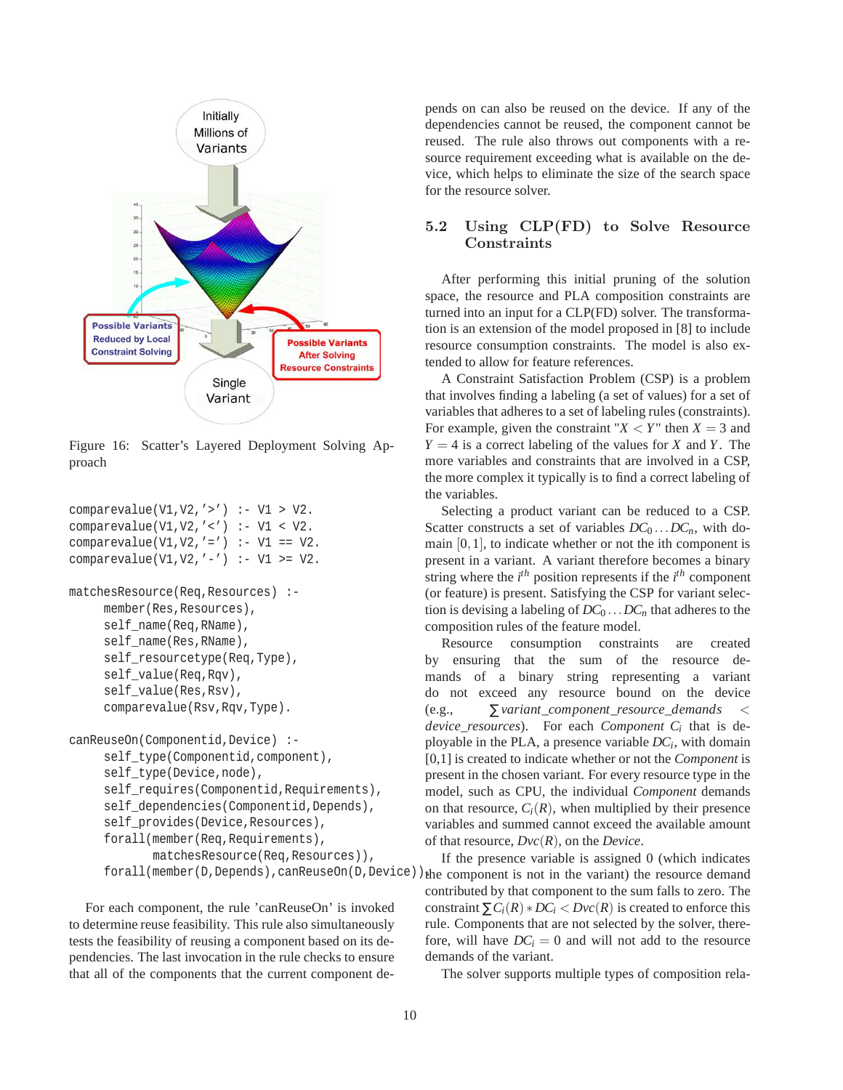

Figure 16: Scatter's Layered Deployment Solving Approach

```
comparevalue(V1,V2,'>') :- V1 > V2.
comparevalue(V1,V2,'<') :- V1 < V2.
comparevalue(V1, V2, '=') :- V1 == V2.
comparevalue(V1, V2, \prime -') :- V1 >= V2.
```

```
matchesResource(Req,Resources) :-
     member(Res,Resources),
     self_name(Req,RName),
     self_name(Res,RName),
     self_resourcetype(Req,Type),
     self_value(Req,Rqv),
     self_value(Res,Rsv),
     comparevalue(Rsv,Rqv,Type).
```

```
canReuseOn(Componentid,Device) :-
     self_type(Componentid,component),
     self_type(Device,node),
     self requires(Componentid, Requirements),
     self dependencies(Componentid,Depends),
     self_provides(Device,Resources),
     forall(member(Req,Requirements),
            matchesResource(Req,Resources)),
     forall(member(D,Depends),canReuseOn(D,Device)).
```
For each component, the rule 'canReuseOn' is invoked to determine reuse feasibility. This rule also simultaneously tests the feasibility of reusing a component based on its dependencies. The last invocation in the rule checks to ensure that all of the components that the current component depends on can also be reused on the device. If any of the dependencies cannot be reused, the component cannot be reused. The rule also throws out components with a resource requirement exceeding what is available on the device, which helps to eliminate the size of the search space for the resource solver.

## 5.2 Using CLP(FD) to Solve Resource Constraints

After performing this initial pruning of the solution space, the resource and PLA composition constraints are turned into an input for a CLP(FD) solver. The transformation is an extension of the model proposed in [8] to include resource consumption constraints. The model is also extended to allow for feature references.

A Constraint Satisfaction Problem (CSP) is a problem that involves finding a labeling (a set of values) for a set of variables that adheres to a set of labeling rules (constraints). For example, given the constraint " $X \leq Y$ " then  $X = 3$  and  $Y = 4$  is a correct labeling of the values for *X* and *Y*. The more variables and constraints that are involved in a CSP, the more complex it typically is to find a correct labeling of the variables.

Selecting a product variant can be reduced to a CSP. Scatter constructs a set of variables  $DC_0$ ... $DC_n$ , with domain  $[0,1]$ , to indicate whether or not the ith component is present in a variant. A variant therefore becomes a binary string where the  $i^{th}$  position represents if the  $i^{th}$  component (or feature) is present. Satisfying the CSP for variant selection is devising a labeling of  $DC_0$ ... $DC_n$  that adheres to the composition rules of the feature model.

Resource consumption constraints are created by ensuring that the sum of the resource demands of a binary string representing a variant do not exceed any resource bound on the device (e.g., ∑*variant*\_*component*\_*resource*\_*demands* < *device*\_*resources*). For each *Component C<sup>i</sup>* that is deployable in the PLA, a presence variable *DC<sup>i</sup>* , with domain [0,1] is created to indicate whether or not the *Component* is present in the chosen variant. For every resource type in the model, such as CPU, the individual *Component* demands on that resource,  $C_i(R)$ , when multiplied by their presence variables and summed cannot exceed the available amount of that resource, *Dvc*(*R*), on the *Device*.

If the presence variable is assigned 0 (which indicates the component is not in the variant) the resource demand contributed by that component to the sum falls to zero. The constraint  $\sum C_i(R) * DC_i < Dvc(R)$  is created to enforce this rule. Components that are not selected by the solver, therefore, will have  $DC_i = 0$  and will not add to the resource demands of the variant.

The solver supports multiple types of composition rela-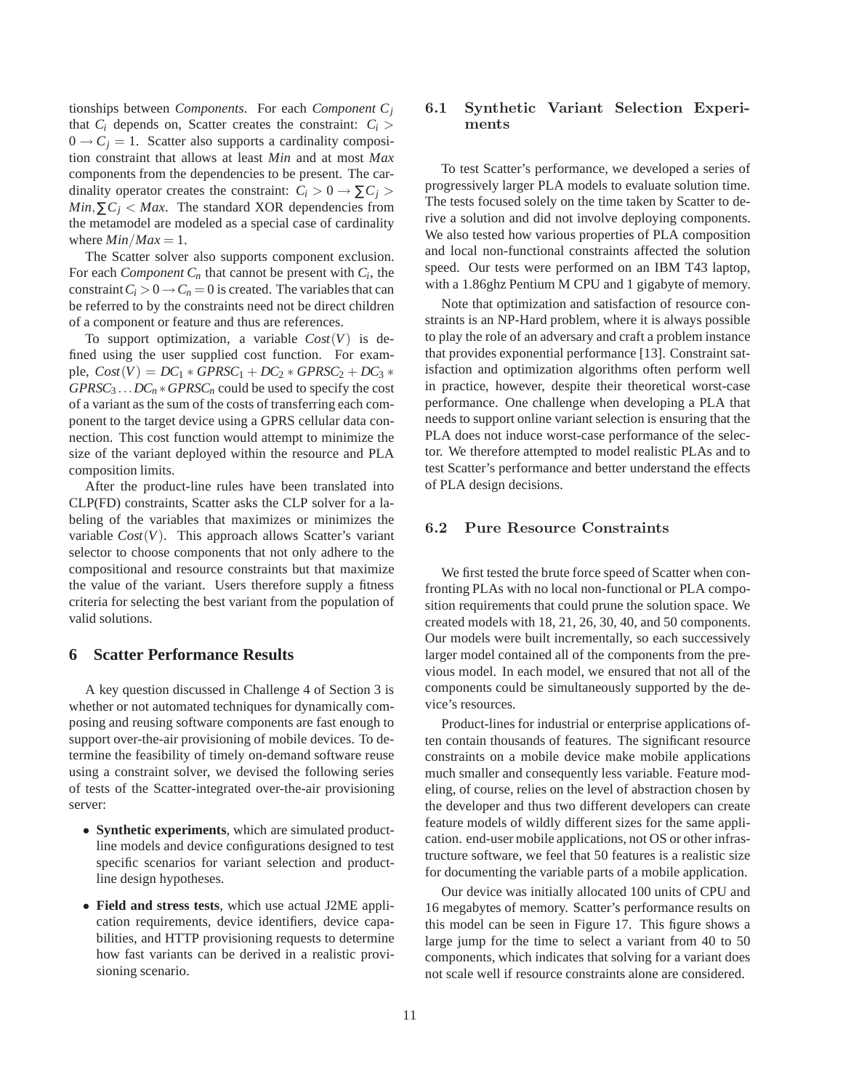tionships between *Components*. For each *Component C<sup>j</sup>* that  $C_i$  depends on, Scatter creates the constraint:  $C_i$  $0 \rightarrow C_i = 1$ . Scatter also supports a cardinality composition constraint that allows at least *Min* and at most *Max* components from the dependencies to be present. The cardinality operator creates the constraint:  $C_i > 0 \rightarrow \sum C_i > 0$ *Min*, $\sum C_i$  < *Max*. The standard XOR dependencies from the metamodel are modeled as a special case of cardinality where  $Min/Max = 1$ .

The Scatter solver also supports component exclusion. For each *Component*  $C_n$  that cannot be present with  $C_i$ , the constraint  $C_i > 0 \rightarrow C_n = 0$  is created. The variables that can be referred to by the constraints need not be direct children of a component or feature and thus are references.

To support optimization, a variable  $Cost(V)$  is defined using the user supplied cost function. For exam $ple, Cost(V) = DC_1 * GPRSC_1 + DC_2 * GPRSC_2 + DC_3 *$ *GPRSC*<sup>3</sup> ...*DC<sup>n</sup>* ∗*GPRSC<sup>n</sup>* could be used to specify the cost of a variant as the sum of the costs of transferring each component to the target device using a GPRS cellular data connection. This cost function would attempt to minimize the size of the variant deployed within the resource and PLA composition limits.

After the product-line rules have been translated into CLP(FD) constraints, Scatter asks the CLP solver for a labeling of the variables that maximizes or minimizes the variable  $Cost(V)$ . This approach allows Scatter's variant selector to choose components that not only adhere to the compositional and resource constraints but that maximize the value of the variant. Users therefore supply a fitness criteria for selecting the best variant from the population of valid solutions.

#### **6 Scatter Performance Results**

A key question discussed in Challenge 4 of Section 3 is whether or not automated techniques for dynamically composing and reusing software components are fast enough to support over-the-air provisioning of mobile devices. To determine the feasibility of timely on-demand software reuse using a constraint solver, we devised the following series of tests of the Scatter-integrated over-the-air provisioning server:

- **Synthetic experiments**, which are simulated productline models and device configurations designed to test specific scenarios for variant selection and productline design hypotheses.
- **Field and stress tests**, which use actual J2ME application requirements, device identifiers, device capabilities, and HTTP provisioning requests to determine how fast variants can be derived in a realistic provisioning scenario.

### 6.1 Synthetic Variant Selection Experiments

To test Scatter's performance, we developed a series of progressively larger PLA models to evaluate solution time. The tests focused solely on the time taken by Scatter to derive a solution and did not involve deploying components. We also tested how various properties of PLA composition and local non-functional constraints affected the solution speed. Our tests were performed on an IBM T43 laptop, with a 1.86ghz Pentium M CPU and 1 gigabyte of memory.

Note that optimization and satisfaction of resource constraints is an NP-Hard problem, where it is always possible to play the role of an adversary and craft a problem instance that provides exponential performance [13]. Constraint satisfaction and optimization algorithms often perform well in practice, however, despite their theoretical worst-case performance. One challenge when developing a PLA that needs to support online variant selection is ensuring that the PLA does not induce worst-case performance of the selector. We therefore attempted to model realistic PLAs and to test Scatter's performance and better understand the effects of PLA design decisions.

#### 6.2 Pure Resource Constraints

We first tested the brute force speed of Scatter when confronting PLAs with no local non-functional or PLA composition requirements that could prune the solution space. We created models with 18, 21, 26, 30, 40, and 50 components. Our models were built incrementally, so each successively larger model contained all of the components from the previous model. In each model, we ensured that not all of the components could be simultaneously supported by the device's resources.

Product-lines for industrial or enterprise applications often contain thousands of features. The significant resource constraints on a mobile device make mobile applications much smaller and consequently less variable. Feature modeling, of course, relies on the level of abstraction chosen by the developer and thus two different developers can create feature models of wildly different sizes for the same application. end-user mobile applications, not OS or other infrastructure software, we feel that 50 features is a realistic size for documenting the variable parts of a mobile application.

Our device was initially allocated 100 units of CPU and 16 megabytes of memory. Scatter's performance results on this model can be seen in Figure 17. This figure shows a large jump for the time to select a variant from 40 to 50 components, which indicates that solving for a variant does not scale well if resource constraints alone are considered.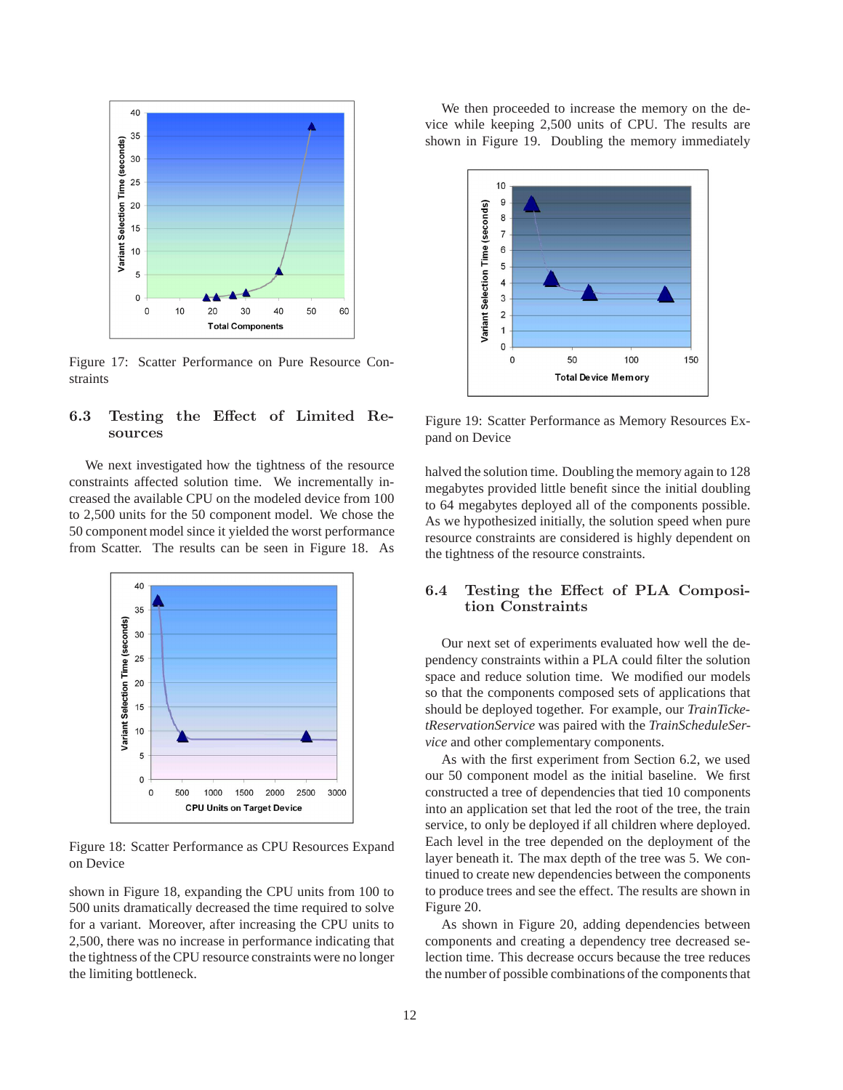

Figure 17: Scatter Performance on Pure Resource Constraints

## 6.3 Testing the Effect of Limited Resources

We next investigated how the tightness of the resource constraints affected solution time. We incrementally increased the available CPU on the modeled device from 100 to 2,500 units for the 50 component model. We chose the 50 component model since it yielded the worst performance from Scatter. The results can be seen in Figure 18. As



Figure 18: Scatter Performance as CPU Resources Expand on Device

shown in Figure 18, expanding the CPU units from 100 to 500 units dramatically decreased the time required to solve for a variant. Moreover, after increasing the CPU units to 2,500, there was no increase in performance indicating that the tightness of the CPU resource constraints were no longer the limiting bottleneck.

We then proceeded to increase the memory on the device while keeping 2,500 units of CPU. The results are shown in Figure 19. Doubling the memory immediately



Figure 19: Scatter Performance as Memory Resources Expand on Device

halved the solution time. Doubling the memory again to 128 megabytes provided little benefit since the initial doubling to 64 megabytes deployed all of the components possible. As we hypothesized initially, the solution speed when pure resource constraints are considered is highly dependent on the tightness of the resource constraints.

### 6.4 Testing the Effect of PLA Composition Constraints

Our next set of experiments evaluated how well the dependency constraints within a PLA could filter the solution space and reduce solution time. We modified our models so that the components composed sets of applications that should be deployed together. For example, our *TrainTicketReservationService* was paired with the *TrainScheduleService* and other complementary components.

As with the first experiment from Section 6.2, we used our 50 component model as the initial baseline. We first constructed a tree of dependencies that tied 10 components into an application set that led the root of the tree, the train service, to only be deployed if all children where deployed. Each level in the tree depended on the deployment of the layer beneath it. The max depth of the tree was 5. We continued to create new dependencies between the components to produce trees and see the effect. The results are shown in Figure 20.

As shown in Figure 20, adding dependencies between components and creating a dependency tree decreased selection time. This decrease occurs because the tree reduces the number of possible combinations of the components that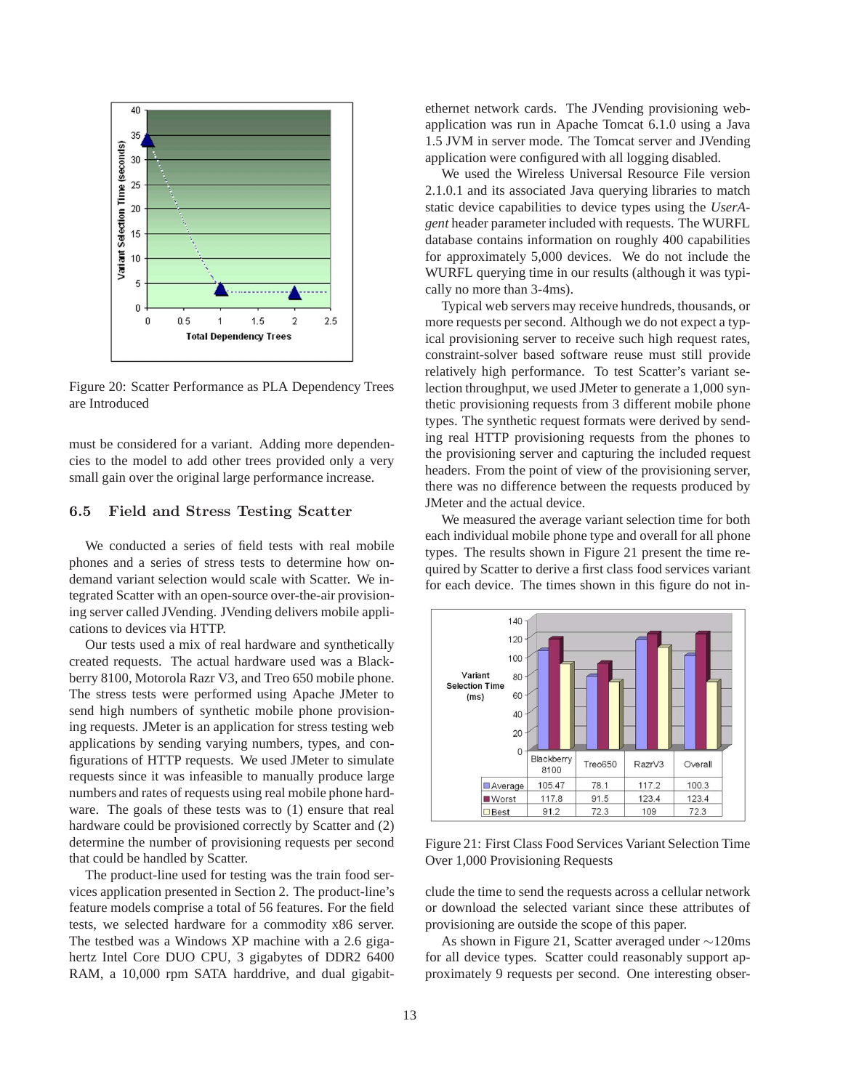

Figure 20: Scatter Performance as PLA Dependency Trees are Introduced

must be considered for a variant. Adding more dependencies to the model to add other trees provided only a very small gain over the original large performance increase.

#### 6.5 Field and Stress Testing Scatter

We conducted a series of field tests with real mobile phones and a series of stress tests to determine how ondemand variant selection would scale with Scatter. We integrated Scatter with an open-source over-the-air provisioning server called JVending. JVending delivers mobile applications to devices via HTTP.

Our tests used a mix of real hardware and synthetically created requests. The actual hardware used was a Blackberry 8100, Motorola Razr V3, and Treo 650 mobile phone. The stress tests were performed using Apache JMeter to send high numbers of synthetic mobile phone provisioning requests. JMeter is an application for stress testing web applications by sending varying numbers, types, and configurations of HTTP requests. We used JMeter to simulate requests since it was infeasible to manually produce large numbers and rates of requests using real mobile phone hardware. The goals of these tests was to (1) ensure that real hardware could be provisioned correctly by Scatter and (2) determine the number of provisioning requests per second that could be handled by Scatter.

The product-line used for testing was the train food services application presented in Section 2. The product-line's feature models comprise a total of 56 features. For the field tests, we selected hardware for a commodity x86 server. The testbed was a Windows XP machine with a 2.6 gigahertz Intel Core DUO CPU, 3 gigabytes of DDR2 6400 RAM, a 10,000 rpm SATA harddrive, and dual gigabitethernet network cards. The JVending provisioning webapplication was run in Apache Tomcat 6.1.0 using a Java 1.5 JVM in server mode. The Tomcat server and JVending application were configured with all logging disabled.

We used the Wireless Universal Resource File version 2.1.0.1 and its associated Java querying libraries to match static device capabilities to device types using the *UserAgent* header parameter included with requests. The WURFL database contains information on roughly 400 capabilities for approximately 5,000 devices. We do not include the WURFL querying time in our results (although it was typically no more than 3-4ms).

Typical web servers may receive hundreds, thousands, or more requests per second. Although we do not expect a typical provisioning server to receive such high request rates, constraint-solver based software reuse must still provide relatively high performance. To test Scatter's variant selection throughput, we used JMeter to generate a 1,000 synthetic provisioning requests from 3 different mobile phone types. The synthetic request formats were derived by sending real HTTP provisioning requests from the phones to the provisioning server and capturing the included request headers. From the point of view of the provisioning server, there was no difference between the requests produced by JMeter and the actual device.

We measured the average variant selection time for both each individual mobile phone type and overall for all phone types. The results shown in Figure 21 present the time required by Scatter to derive a first class food services variant for each device. The times shown in this figure do not in-



Figure 21: First Class Food Services Variant Selection Time Over 1,000 Provisioning Requests

clude the time to send the requests across a cellular network or download the selected variant since these attributes of provisioning are outside the scope of this paper.

As shown in Figure 21, Scatter averaged under ∼120ms for all device types. Scatter could reasonably support approximately 9 requests per second. One interesting obser-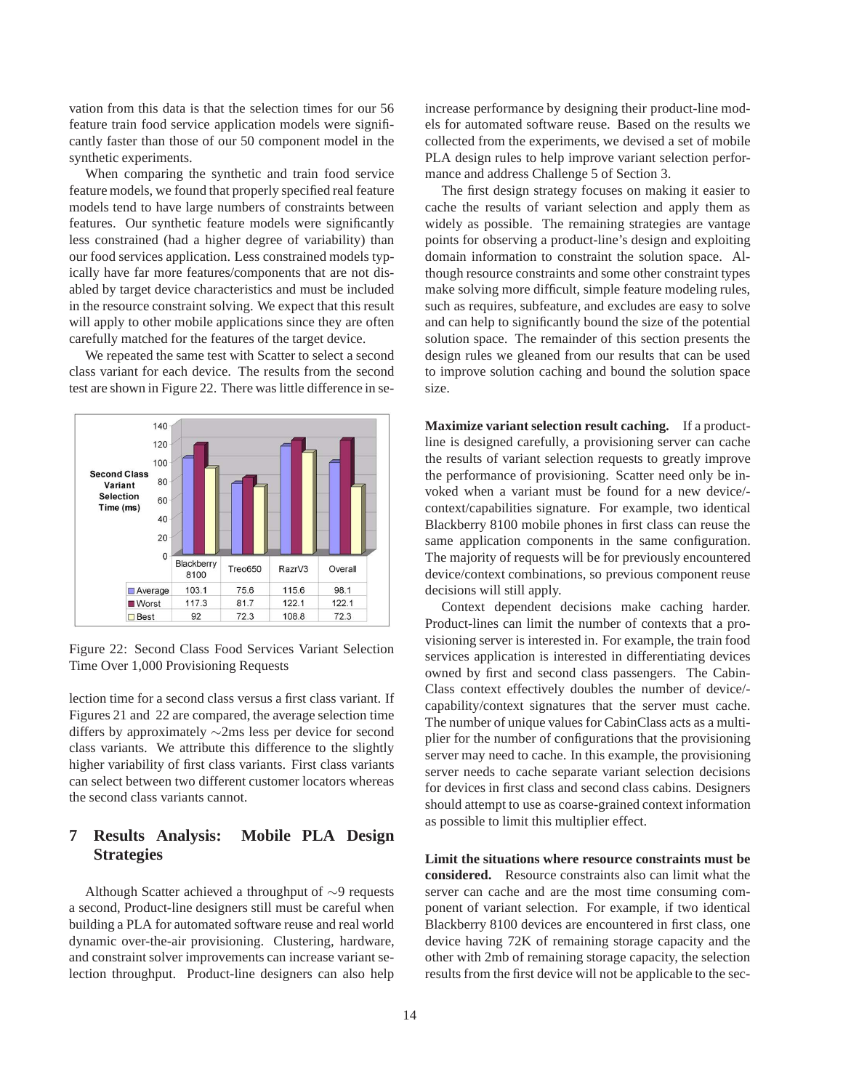vation from this data is that the selection times for our 56 feature train food service application models were significantly faster than those of our 50 component model in the synthetic experiments.

When comparing the synthetic and train food service feature models, we found that properly specified real feature models tend to have large numbers of constraints between features. Our synthetic feature models were significantly less constrained (had a higher degree of variability) than our food services application. Less constrained models typically have far more features/components that are not disabled by target device characteristics and must be included in the resource constraint solving. We expect that this result will apply to other mobile applications since they are often carefully matched for the features of the target device.

We repeated the same test with Scatter to select a second class variant for each device. The results from the second test are shown in Figure 22. There was little difference in se-



Figure 22: Second Class Food Services Variant Selection Time Over 1,000 Provisioning Requests

lection time for a second class versus a first class variant. If Figures 21 and 22 are compared, the average selection time differs by approximately ∼2ms less per device for second class variants. We attribute this difference to the slightly higher variability of first class variants. First class variants can select between two different customer locators whereas the second class variants cannot.

## **7 Results Analysis: Mobile PLA Design Strategies**

Although Scatter achieved a throughput of ∼9 requests a second, Product-line designers still must be careful when building a PLA for automated software reuse and real world dynamic over-the-air provisioning. Clustering, hardware, and constraint solver improvements can increase variant selection throughput. Product-line designers can also help increase performance by designing their product-line models for automated software reuse. Based on the results we collected from the experiments, we devised a set of mobile PLA design rules to help improve variant selection performance and address Challenge 5 of Section 3.

The first design strategy focuses on making it easier to cache the results of variant selection and apply them as widely as possible. The remaining strategies are vantage points for observing a product-line's design and exploiting domain information to constraint the solution space. Although resource constraints and some other constraint types make solving more difficult, simple feature modeling rules, such as requires, subfeature, and excludes are easy to solve and can help to significantly bound the size of the potential solution space. The remainder of this section presents the design rules we gleaned from our results that can be used to improve solution caching and bound the solution space size.

**Maximize variant selection result caching.** If a productline is designed carefully, a provisioning server can cache the results of variant selection requests to greatly improve the performance of provisioning. Scatter need only be invoked when a variant must be found for a new device/ context/capabilities signature. For example, two identical Blackberry 8100 mobile phones in first class can reuse the same application components in the same configuration. The majority of requests will be for previously encountered device/context combinations, so previous component reuse decisions will still apply.

Context dependent decisions make caching harder. Product-lines can limit the number of contexts that a provisioning server is interested in. For example, the train food services application is interested in differentiating devices owned by first and second class passengers. The Cabin-Class context effectively doubles the number of device/ capability/context signatures that the server must cache. The number of unique values for CabinClass acts as a multiplier for the number of configurations that the provisioning server may need to cache. In this example, the provisioning server needs to cache separate variant selection decisions for devices in first class and second class cabins. Designers should attempt to use as coarse-grained context information as possible to limit this multiplier effect.

**Limit the situations where resource constraints must be considered.** Resource constraints also can limit what the server can cache and are the most time consuming component of variant selection. For example, if two identical Blackberry 8100 devices are encountered in first class, one device having 72K of remaining storage capacity and the other with 2mb of remaining storage capacity, the selection results from the first device will not be applicable to the sec-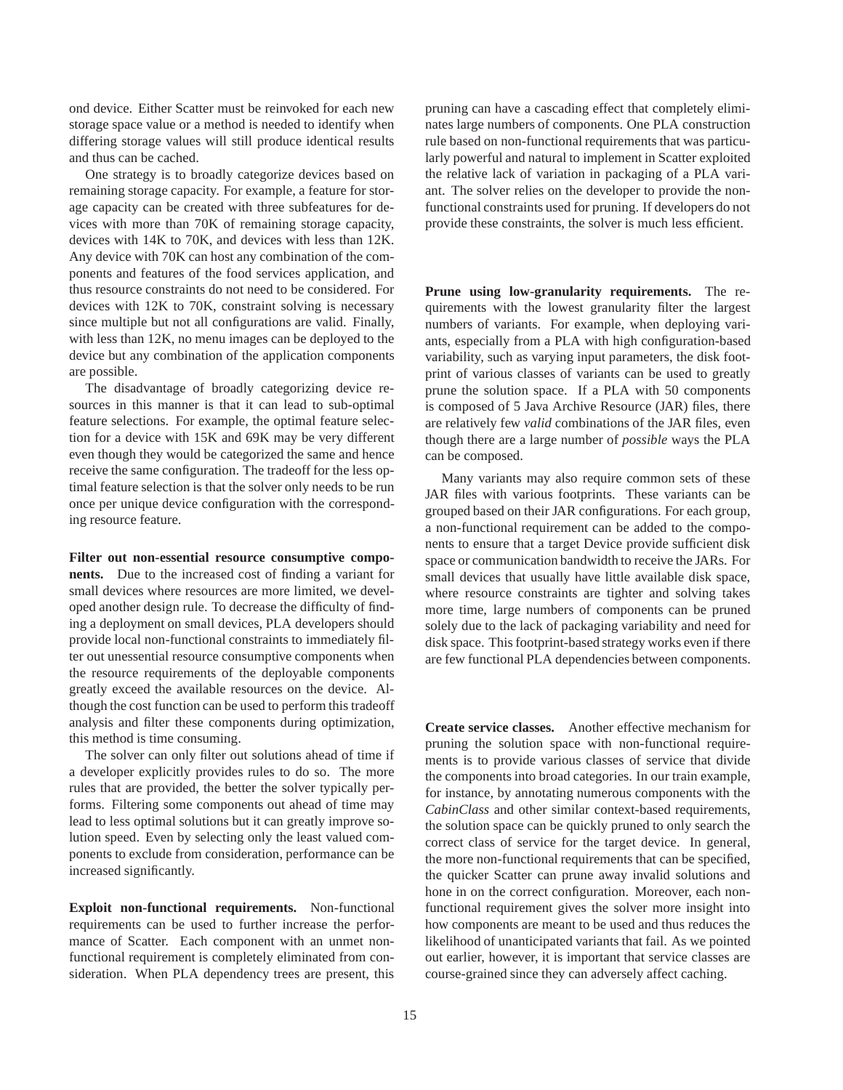ond device. Either Scatter must be reinvoked for each new storage space value or a method is needed to identify when differing storage values will still produce identical results and thus can be cached.

One strategy is to broadly categorize devices based on remaining storage capacity. For example, a feature for storage capacity can be created with three subfeatures for devices with more than 70K of remaining storage capacity, devices with 14K to 70K, and devices with less than 12K. Any device with 70K can host any combination of the components and features of the food services application, and thus resource constraints do not need to be considered. For devices with 12K to 70K, constraint solving is necessary since multiple but not all configurations are valid. Finally, with less than 12K, no menu images can be deployed to the device but any combination of the application components are possible.

The disadvantage of broadly categorizing device resources in this manner is that it can lead to sub-optimal feature selections. For example, the optimal feature selection for a device with 15K and 69K may be very different even though they would be categorized the same and hence receive the same configuration. The tradeoff for the less optimal feature selection is that the solver only needs to be run once per unique device configuration with the corresponding resource feature.

**Filter out non-essential resource consumptive components.** Due to the increased cost of finding a variant for small devices where resources are more limited, we developed another design rule. To decrease the difficulty of finding a deployment on small devices, PLA developers should provide local non-functional constraints to immediately filter out unessential resource consumptive components when the resource requirements of the deployable components greatly exceed the available resources on the device. Although the cost function can be used to perform this tradeoff analysis and filter these components during optimization, this method is time consuming.

The solver can only filter out solutions ahead of time if a developer explicitly provides rules to do so. The more rules that are provided, the better the solver typically performs. Filtering some components out ahead of time may lead to less optimal solutions but it can greatly improve solution speed. Even by selecting only the least valued components to exclude from consideration, performance can be increased significantly.

**Exploit non-functional requirements.** Non-functional requirements can be used to further increase the performance of Scatter. Each component with an unmet nonfunctional requirement is completely eliminated from consideration. When PLA dependency trees are present, this

pruning can have a cascading effect that completely eliminates large numbers of components. One PLA construction rule based on non-functional requirements that was particularly powerful and natural to implement in Scatter exploited the relative lack of variation in packaging of a PLA variant. The solver relies on the developer to provide the nonfunctional constraints used for pruning. If developers do not provide these constraints, the solver is much less efficient.

**Prune using low-granularity requirements.** The requirements with the lowest granularity filter the largest numbers of variants. For example, when deploying variants, especially from a PLA with high configuration-based variability, such as varying input parameters, the disk footprint of various classes of variants can be used to greatly prune the solution space. If a PLA with 50 components is composed of 5 Java Archive Resource (JAR) files, there are relatively few *valid* combinations of the JAR files, even though there are a large number of *possible* ways the PLA can be composed.

Many variants may also require common sets of these JAR files with various footprints. These variants can be grouped based on their JAR configurations. For each group, a non-functional requirement can be added to the components to ensure that a target Device provide sufficient disk space or communication bandwidth to receive the JARs. For small devices that usually have little available disk space, where resource constraints are tighter and solving takes more time, large numbers of components can be pruned solely due to the lack of packaging variability and need for disk space. This footprint-based strategy works even if there are few functional PLA dependencies between components.

**Create service classes.** Another effective mechanism for pruning the solution space with non-functional requirements is to provide various classes of service that divide the components into broad categories. In our train example, for instance, by annotating numerous components with the *CabinClass* and other similar context-based requirements, the solution space can be quickly pruned to only search the correct class of service for the target device. In general, the more non-functional requirements that can be specified, the quicker Scatter can prune away invalid solutions and hone in on the correct configuration. Moreover, each nonfunctional requirement gives the solver more insight into how components are meant to be used and thus reduces the likelihood of unanticipated variants that fail. As we pointed out earlier, however, it is important that service classes are course-grained since they can adversely affect caching.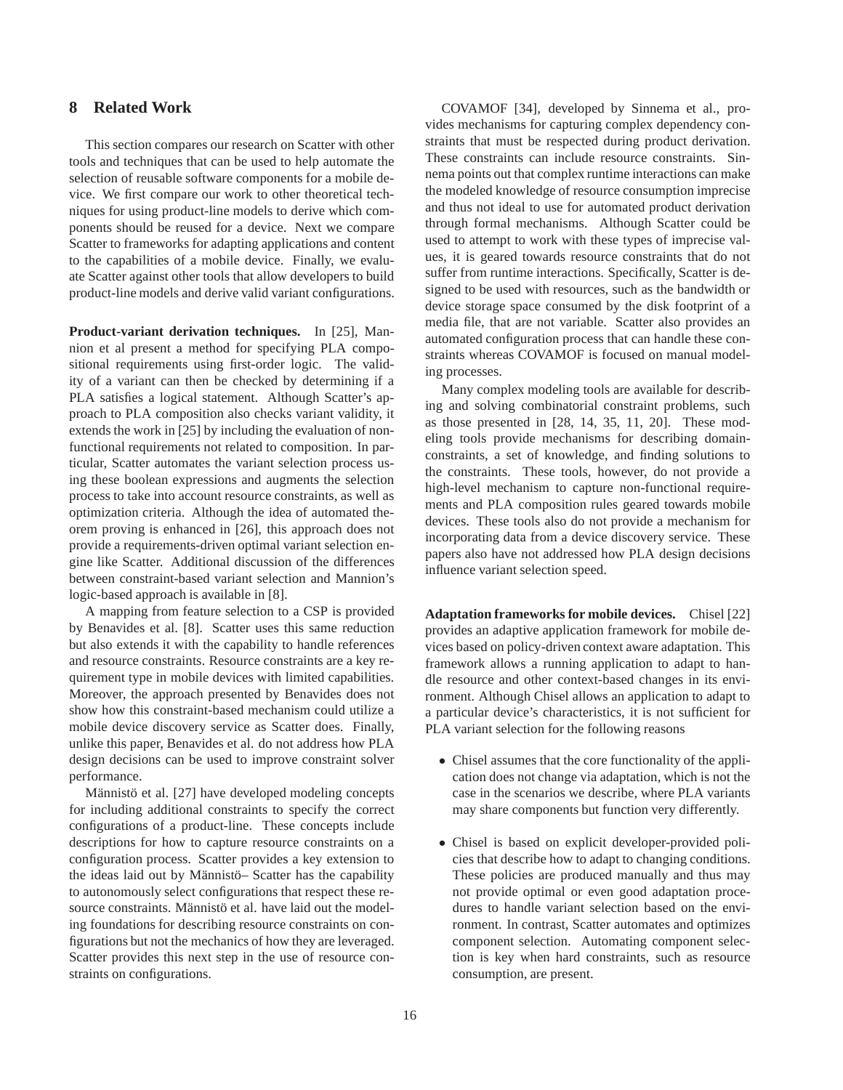## **8 Related Work**

This section compares our research on Scatter with other tools and techniques that can be used to help automate the selection of reusable software components for a mobile device. We first compare our work to other theoretical techniques for using product-line models to derive which components should be reused for a device. Next we compare Scatter to frameworks for adapting applications and content to the capabilities of a mobile device. Finally, we evaluate Scatter against other tools that allow developers to build product-line models and derive valid variant configurations.

**Product-variant derivation techniques.** In [25], Mannion et al present a method for specifying PLA compositional requirements using first-order logic. The validity of a variant can then be checked by determining if a PLA satisfies a logical statement. Although Scatter's approach to PLA composition also checks variant validity, it extends the work in [25] by including the evaluation of nonfunctional requirements not related to composition. In particular, Scatter automates the variant selection process using these boolean expressions and augments the selection process to take into account resource constraints, as well as optimization criteria. Although the idea of automated theorem proving is enhanced in [26], this approach does not provide a requirements-driven optimal variant selection engine like Scatter. Additional discussion of the differences between constraint-based variant selection and Mannion's logic-based approach is available in [8].

A mapping from feature selection to a CSP is provided by Benavides et al. [8]. Scatter uses this same reduction but also extends it with the capability to handle references and resource constraints. Resource constraints are a key requirement type in mobile devices with limited capabilities. Moreover, the approach presented by Benavides does not show how this constraint-based mechanism could utilize a mobile device discovery service as Scatter does. Finally, unlike this paper, Benavides et al. do not address how PLA design decisions can be used to improve constraint solver performance.

Männistö et al. [27] have developed modeling concepts for including additional constraints to specify the correct configurations of a product-line. These concepts include descriptions for how to capture resource constraints on a configuration process. Scatter provides a key extension to the ideas laid out by Männistö– Scatter has the capability to autonomously select configurations that respect these resource constraints. Männistö et al. have laid out the modeling foundations for describing resource constraints on configurations but not the mechanics of how they are leveraged. Scatter provides this next step in the use of resource constraints on configurations.

COVAMOF [34], developed by Sinnema et al., provides mechanisms for capturing complex dependency constraints that must be respected during product derivation. These constraints can include resource constraints. Sinnema points out that complex runtime interactions can make the modeled knowledge of resource consumption imprecise and thus not ideal to use for automated product derivation through formal mechanisms. Although Scatter could be used to attempt to work with these types of imprecise values, it is geared towards resource constraints that do not suffer from runtime interactions. Specifically, Scatter is designed to be used with resources, such as the bandwidth or device storage space consumed by the disk footprint of a media file, that are not variable. Scatter also provides an automated configuration process that can handle these constraints whereas COVAMOF is focused on manual modeling processes.

Many complex modeling tools are available for describing and solving combinatorial constraint problems, such as those presented in [28, 14, 35, 11, 20]. These modeling tools provide mechanisms for describing domainconstraints, a set of knowledge, and finding solutions to the constraints. These tools, however, do not provide a high-level mechanism to capture non-functional requirements and PLA composition rules geared towards mobile devices. These tools also do not provide a mechanism for incorporating data from a device discovery service. These papers also have not addressed how PLA design decisions influence variant selection speed.

**Adaptation frameworks for mobile devices.** Chisel [22] provides an adaptive application framework for mobile devices based on policy-driven context aware adaptation. This framework allows a running application to adapt to handle resource and other context-based changes in its environment. Although Chisel allows an application to adapt to a particular device's characteristics, it is not sufficient for PLA variant selection for the following reasons

- Chisel assumes that the core functionality of the application does not change via adaptation, which is not the case in the scenarios we describe, where PLA variants may share components but function very differently.
- Chisel is based on explicit developer-provided policies that describe how to adapt to changing conditions. These policies are produced manually and thus may not provide optimal or even good adaptation procedures to handle variant selection based on the environment. In contrast, Scatter automates and optimizes component selection. Automating component selection is key when hard constraints, such as resource consumption, are present.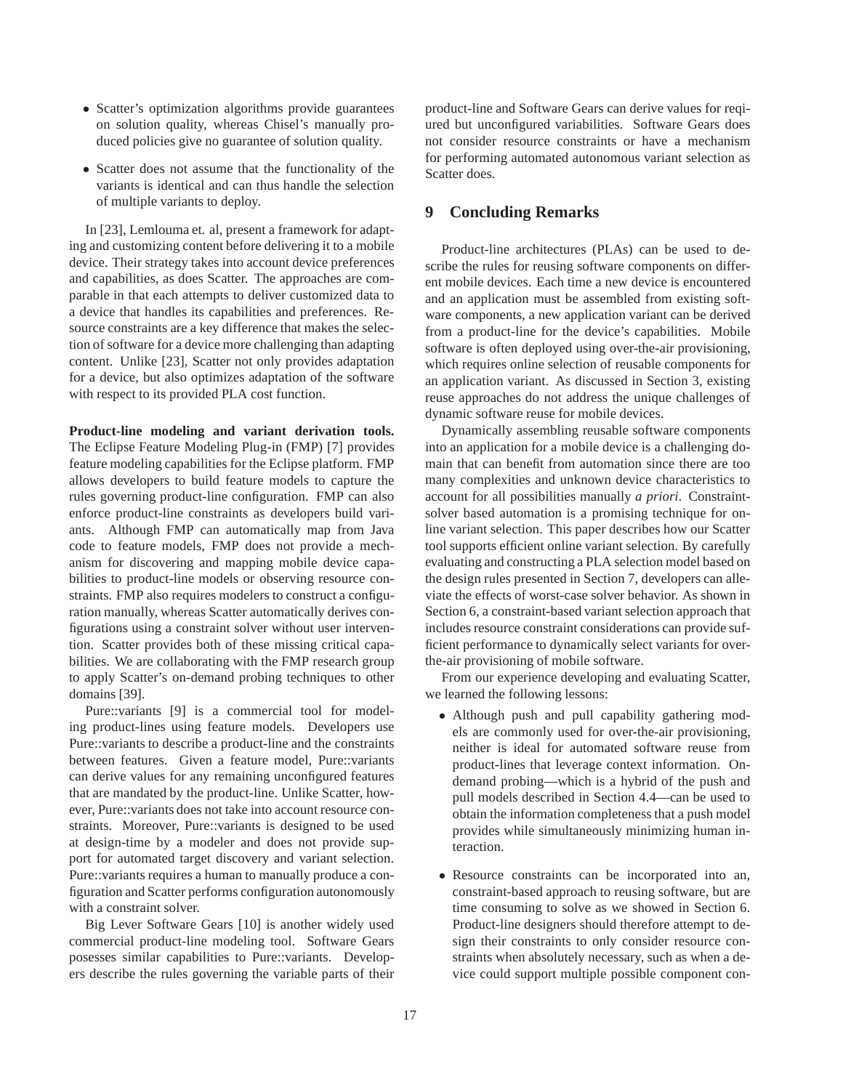- Scatter's optimization algorithms provide guarantees on solution quality, whereas Chisel's manually produced policies give no guarantee of solution quality.
- Scatter does not assume that the functionality of the variants is identical and can thus handle the selection of multiple variants to deploy.

In [23], Lemlouma et. al, present a framework for adapting and customizing content before delivering it to a mobile device. Their strategy takes into account device preferences and capabilities, as does Scatter. The approaches are comparable in that each attempts to deliver customized data to a device that handles its capabilities and preferences. Resource constraints are a key difference that makes the selection of software for a device more challenging than adapting content. Unlike [23], Scatter not only provides adaptation for a device, but also optimizes adaptation of the software with respect to its provided PLA cost function.

**Product-line modeling and variant derivation tools.** The Eclipse Feature Modeling Plug-in (FMP) [7] provides feature modeling capabilities for the Eclipse platform. FMP allows developers to build feature models to capture the rules governing product-line configuration. FMP can also enforce product-line constraints as developers build variants. Although FMP can automatically map from Java code to feature models, FMP does not provide a mechanism for discovering and mapping mobile device capabilities to product-line models or observing resource constraints. FMP also requires modelers to construct a configuration manually, whereas Scatter automatically derives configurations using a constraint solver without user intervention. Scatter provides both of these missing critical capabilities. We are collaborating with the FMP research group to apply Scatter's on-demand probing techniques to other domains [39].

Pure::variants [9] is a commercial tool for modeling product-lines using feature models. Developers use Pure::variants to describe a product-line and the constraints between features. Given a feature model, Pure::variants can derive values for any remaining unconfigured features that are mandated by the product-line. Unlike Scatter, however, Pure::variants does not take into account resource constraints. Moreover, Pure::variants is designed to be used at design-time by a modeler and does not provide support for automated target discovery and variant selection. Pure::variants requires a human to manually produce a configuration and Scatter performs configuration autonomously with a constraint solver.

Big Lever Software Gears [10] is another widely used commercial product-line modeling tool. Software Gears posesses similar capabilities to Pure::variants. Developers describe the rules governing the variable parts of their

product-line and Software Gears can derive values for reqiured but unconfigured variabilities. Software Gears does not consider resource constraints or have a mechanism for performing automated autonomous variant selection as Scatter does.

## **9 Concluding Remarks**

Product-line architectures (PLAs) can be used to describe the rules for reusing software components on different mobile devices. Each time a new device is encountered and an application must be assembled from existing software components, a new application variant can be derived from a product-line for the device's capabilities. Mobile software is often deployed using over-the-air provisioning, which requires online selection of reusable components for an application variant. As discussed in Section 3, existing reuse approaches do not address the unique challenges of dynamic software reuse for mobile devices.

Dynamically assembling reusable software components into an application for a mobile device is a challenging domain that can benefit from automation since there are too many complexities and unknown device characteristics to account for all possibilities manually *a priori*. Constraintsolver based automation is a promising technique for online variant selection. This paper describes how our Scatter tool supports efficient online variant selection. By carefully evaluating and constructing a PLA selection model based on the design rules presented in Section 7, developers can alleviate the effects of worst-case solver behavior. As shown in Section 6, a constraint-based variant selection approach that includes resource constraint considerations can provide sufficient performance to dynamically select variants for overthe-air provisioning of mobile software.

From our experience developing and evaluating Scatter, we learned the following lessons:

- Although push and pull capability gathering models are commonly used for over-the-air provisioning, neither is ideal for automated software reuse from product-lines that leverage context information. Ondemand probing—which is a hybrid of the push and pull models described in Section 4.4—can be used to obtain the information completeness that a push model provides while simultaneously minimizing human interaction.
- Resource constraints can be incorporated into an, constraint-based approach to reusing software, but are time consuming to solve as we showed in Section 6. Product-line designers should therefore attempt to design their constraints to only consider resource constraints when absolutely necessary, such as when a device could support multiple possible component con-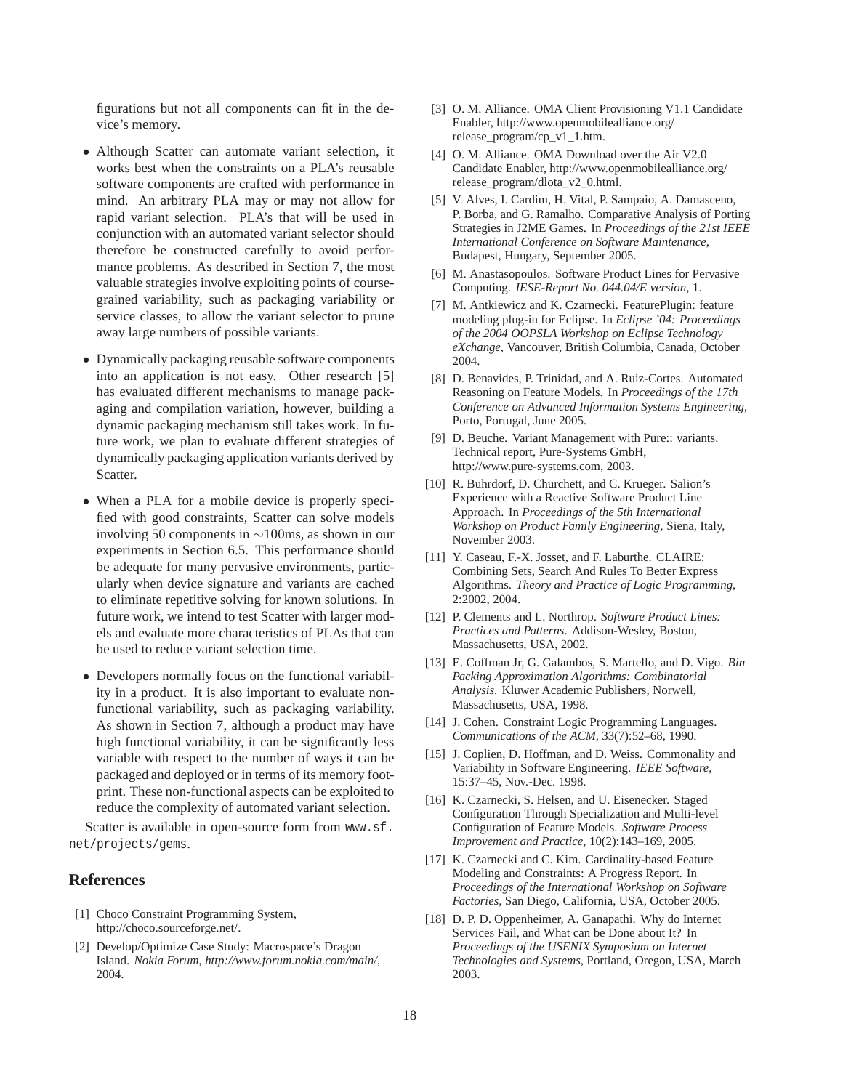figurations but not all components can fit in the device's memory.

- Although Scatter can automate variant selection, it works best when the constraints on a PLA's reusable software components are crafted with performance in mind. An arbitrary PLA may or may not allow for rapid variant selection. PLA's that will be used in conjunction with an automated variant selector should therefore be constructed carefully to avoid performance problems. As described in Section 7, the most valuable strategies involve exploiting points of coursegrained variability, such as packaging variability or service classes, to allow the variant selector to prune away large numbers of possible variants.
- Dynamically packaging reusable software components into an application is not easy. Other research [5] has evaluated different mechanisms to manage packaging and compilation variation, however, building a dynamic packaging mechanism still takes work. In future work, we plan to evaluate different strategies of dynamically packaging application variants derived by Scatter.
- When a PLA for a mobile device is properly specified with good constraints, Scatter can solve models involving 50 components in ∼100ms, as shown in our experiments in Section 6.5. This performance should be adequate for many pervasive environments, particularly when device signature and variants are cached to eliminate repetitive solving for known solutions. In future work, we intend to test Scatter with larger models and evaluate more characteristics of PLAs that can be used to reduce variant selection time.
- Developers normally focus on the functional variability in a product. It is also important to evaluate nonfunctional variability, such as packaging variability. As shown in Section 7, although a product may have high functional variability, it can be significantly less variable with respect to the number of ways it can be packaged and deployed or in terms of its memory footprint. These non-functional aspects can be exploited to reduce the complexity of automated variant selection.

Scatter is available in open-source form from www.sf. net/projects/gems.

# **References**

- [1] Choco Constraint Programming System, http://choco.sourceforge.net/.
- [2] Develop/Optimize Case Study: Macrospace's Dragon Island. *Nokia Forum, http://www.forum.nokia.com/main/*, 2004.
- [3] O. M. Alliance. OMA Client Provisioning V1.1 Candidate Enabler, http://www.openmobilealliance.org/ release\_program/cp\_v1\_1.htm.
- [4] O. M. Alliance. OMA Download over the Air V2.0 Candidate Enabler, http://www.openmobilealliance.org/ release\_program/dlota\_v2\_0.html.
- [5] V. Alves, I. Cardim, H. Vital, P. Sampaio, A. Damasceno, P. Borba, and G. Ramalho. Comparative Analysis of Porting Strategies in J2ME Games. In *Proceedings of the 21st IEEE International Conference on Software Maintenance*, Budapest, Hungary, September 2005.
- [6] M. Anastasopoulos. Software Product Lines for Pervasive Computing. *IESE-Report No. 044.04/E version*, 1.
- [7] M. Antkiewicz and K. Czarnecki. FeaturePlugin: feature modeling plug-in for Eclipse. In *Eclipse '04: Proceedings of the 2004 OOPSLA Workshop on Eclipse Technology eXchange*, Vancouver, British Columbia, Canada, October 2004.
- [8] D. Benavides, P. Trinidad, and A. Ruiz-Cortes. Automated Reasoning on Feature Models. In *Proceedings of the 17th Conference on Advanced Information Systems Engineering*, Porto, Portugal, June 2005.
- [9] D. Beuche. Variant Management with Pure:: variants. Technical report, Pure-Systems GmbH, http://www.pure-systems.com, 2003.
- [10] R. Buhrdorf, D. Churchett, and C. Krueger. Salion's Experience with a Reactive Software Product Line Approach. In *Proceedings of the 5th International Workshop on Product Family Engineering*, Siena, Italy, November 2003.
- [11] Y. Caseau, F.-X. Josset, and F. Laburthe. CLAIRE: Combining Sets, Search And Rules To Better Express Algorithms. *Theory and Practice of Logic Programming*, 2:2002, 2004.
- [12] P. Clements and L. Northrop. *Software Product Lines: Practices and Patterns*. Addison-Wesley, Boston, Massachusetts, USA, 2002.
- [13] E. Coffman Jr, G. Galambos, S. Martello, and D. Vigo. *Bin Packing Approximation Algorithms: Combinatorial Analysis*. Kluwer Academic Publishers, Norwell, Massachusetts, USA, 1998.
- [14] J. Cohen. Constraint Logic Programming Languages. *Communications of the ACM*, 33(7):52–68, 1990.
- [15] J. Coplien, D. Hoffman, and D. Weiss. Commonality and Variability in Software Engineering. *IEEE Software*, 15:37–45, Nov.-Dec. 1998.
- [16] K. Czarnecki, S. Helsen, and U. Eisenecker. Staged Configuration Through Specialization and Multi-level Configuration of Feature Models. *Software Process Improvement and Practice*, 10(2):143–169, 2005.
- [17] K. Czarnecki and C. Kim. Cardinality-based Feature Modeling and Constraints: A Progress Report. In *Proceedings of the International Workshop on Software Factories*, San Diego, California, USA, October 2005.
- [18] D. P. D. Oppenheimer, A. Ganapathi. Why do Internet Services Fail, and What can be Done about It? In *Proceedings of the USENIX Symposium on Internet Technologies and Systems*, Portland, Oregon, USA, March 2003.